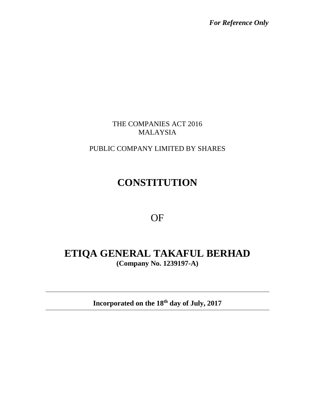*For Reference Only*

THE COMPANIES ACT 2016 MALAYSIA

PUBLIC COMPANY LIMITED BY SHARES

# **CONSTITUTION**

# OF

# **ETIQA GENERAL TAKAFUL BERHAD (Company No. 1239197-A)**

**Incorporated on the 18 th day of July, 2017**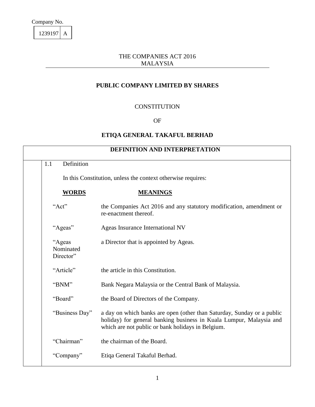1239197 A

#### THE COMPANIES ACT 2016 MALAYSIA

## **PUBLIC COMPANY LIMITED BY SHARES**

#### **CONSTITUTION**

#### OF

#### **ETIQA GENERAL TAKAFUL BERHAD**

| Definition<br>1.1                | DEFINITION AND INTERPRETATION                                                                                                                                                                      |
|----------------------------------|----------------------------------------------------------------------------------------------------------------------------------------------------------------------------------------------------|
|                                  |                                                                                                                                                                                                    |
|                                  | In this Constitution, unless the context otherwise requires:                                                                                                                                       |
| <b>WORDS</b>                     | <b>MEANINGS</b>                                                                                                                                                                                    |
| "Act"                            | the Companies Act 2016 and any statutory modification, amendment or<br>re-enactment thereof.                                                                                                       |
| "Ageas"                          | Ageas Insurance International NV                                                                                                                                                                   |
| "Ageas<br>Nominated<br>Director" | a Director that is appointed by Ageas.                                                                                                                                                             |
| "Article"                        | the article in this Constitution.                                                                                                                                                                  |
| "BNM"                            | Bank Negara Malaysia or the Central Bank of Malaysia.                                                                                                                                              |
| "Board"                          | the Board of Directors of the Company.                                                                                                                                                             |
| "Business Day"                   | a day on which banks are open (other than Saturday, Sunday or a public<br>holiday) for general banking business in Kuala Lumpur, Malaysia and<br>which are not public or bank holidays in Belgium. |
| "Chairman"                       | the chairman of the Board.                                                                                                                                                                         |
| "Company"                        | Etiqa General Takaful Berhad.                                                                                                                                                                      |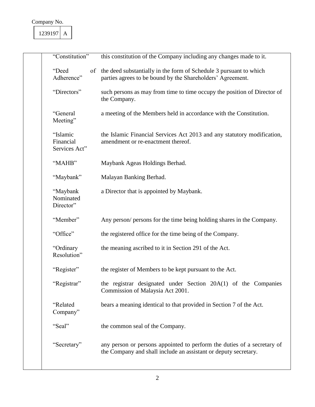| "Constitution"                         | this constitution of the Company including any changes made to it.                                                                         |
|----------------------------------------|--------------------------------------------------------------------------------------------------------------------------------------------|
| "Deed<br>Adherence"                    | of the deed substantially in the form of Schedule 3 pursuant to which<br>parties agrees to be bound by the Shareholders' Agreement.        |
| "Directors"                            | such persons as may from time to time occupy the position of Director of<br>the Company.                                                   |
| "General<br>Meeting"                   | a meeting of the Members held in accordance with the Constitution.                                                                         |
| "Islamic<br>Financial<br>Services Act" | the Islamic Financial Services Act 2013 and any statutory modification,<br>amendment or re-enactment thereof.                              |
| "MAHB"                                 | Maybank Ageas Holdings Berhad.                                                                                                             |
| "Maybank"                              | Malayan Banking Berhad.                                                                                                                    |
| "Maybank<br>Nominated<br>Director"     | a Director that is appointed by Maybank.                                                                                                   |
| "Member"                               | Any person/ persons for the time being holding shares in the Company.                                                                      |
| "Office"                               | the registered office for the time being of the Company.                                                                                   |
| "Ordinary<br>Resolution"               | the meaning ascribed to it in Section 291 of the Act.                                                                                      |
| "Register"                             | the register of Members to be kept pursuant to the Act.                                                                                    |
| "Registrar"                            | the registrar designated under Section 20A(1) of the Companies<br>Commission of Malaysia Act 2001.                                         |
| "Related<br>Company"                   | bears a meaning identical to that provided in Section 7 of the Act.                                                                        |
| "Seal"                                 | the common seal of the Company.                                                                                                            |
| "Secretary"                            | any person or persons appointed to perform the duties of a secretary of<br>the Company and shall include an assistant or deputy secretary. |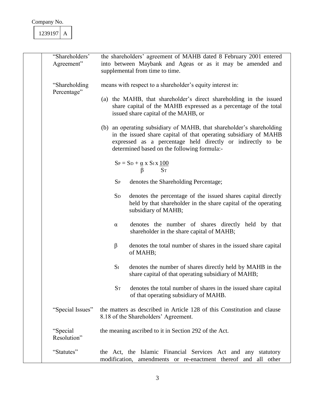| 239197 |  |
|--------|--|
|        |  |

| "Shareholders"<br>Agreement"  | the shareholders' agreement of MAHB dated 8 February 2001 entered<br>into between Maybank and Ageas or as it may be amended and<br>supplemental from time to time.                                                                                     |
|-------------------------------|--------------------------------------------------------------------------------------------------------------------------------------------------------------------------------------------------------------------------------------------------------|
| "Shareholding"<br>Percentage" | means with respect to a shareholder's equity interest in:                                                                                                                                                                                              |
|                               | (a) the MAHB, that shareholder's direct shareholding in the issued<br>share capital of the MAHB expressed as a percentage of the total<br>issued share capital of the MAHB, or                                                                         |
|                               | (b) an operating subsidiary of MAHB, that shareholder's shareholding<br>in the issued share capital of that operating subsidiary of MAHB<br>expressed as a percentage held directly or indirectly to be<br>determined based on the following formula:- |
|                               | $S_P = S_D + \underline{\alpha} x S_I x \underline{100}$<br><b>ST</b><br>β                                                                                                                                                                             |
|                               | $S_{P}$<br>denotes the Shareholding Percentage;                                                                                                                                                                                                        |
|                               | $S_{D}$<br>denotes the percentage of the issued shares capital directly<br>held by that shareholder in the share capital of the operating<br>subsidiary of MAHB;                                                                                       |
|                               | denotes the number of shares directly held by that<br>$\alpha$<br>shareholder in the share capital of MAHB;                                                                                                                                            |
|                               | β<br>denotes the total number of shares in the issued share capital<br>of MAHB;                                                                                                                                                                        |
|                               | $S_I$<br>denotes the number of shares directly held by MAHB in the<br>share capital of that operating subsidiary of MAHB;                                                                                                                              |
|                               | $S_T$<br>denotes the total number of shares in the issued share capital<br>of that operating subsidiary of MAHB.                                                                                                                                       |
| "Special Issues"              | the matters as described in Article 128 of this Constitution and clause<br>8.18 of the Shareholders' Agreement.                                                                                                                                        |
| "Special"<br>Resolution"      | the meaning ascribed to it in Section 292 of the Act.                                                                                                                                                                                                  |
| "Statutes"                    | the Act, the Islamic Financial Services Act and any statutory<br>modification, amendments or re-enactment thereof and all other                                                                                                                        |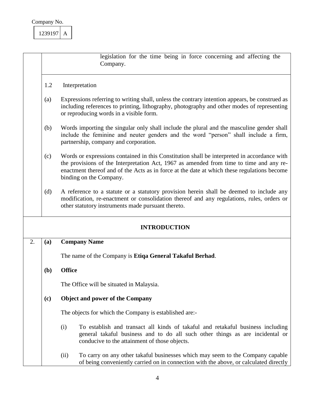

|    |                                                                                                                                                                                                                                                                                                                         | legislation for the time being in force concerning and affecting the<br>Company.                                                                                                                                                           |  |  |
|----|-------------------------------------------------------------------------------------------------------------------------------------------------------------------------------------------------------------------------------------------------------------------------------------------------------------------------|--------------------------------------------------------------------------------------------------------------------------------------------------------------------------------------------------------------------------------------------|--|--|
|    | 1.2<br>Interpretation                                                                                                                                                                                                                                                                                                   |                                                                                                                                                                                                                                            |  |  |
|    | Expressions referring to writing shall, unless the contrary intention appears, be construed as<br>(a)<br>including references to printing, lithography, photography and other modes of representing<br>or reproducing words in a visible form.                                                                          |                                                                                                                                                                                                                                            |  |  |
|    | (b)<br>Words importing the singular only shall include the plural and the masculine gender shall<br>include the feminine and neuter genders and the word "person" shall include a firm,<br>partnership, company and corporation.                                                                                        |                                                                                                                                                                                                                                            |  |  |
|    | Words or expressions contained in this Constitution shall be interpreted in accordance with<br>(c)<br>the provisions of the Interpretation Act, 1967 as amended from time to time and any re-<br>enactment thereof and of the Acts as in force at the date at which these regulations become<br>binding on the Company. |                                                                                                                                                                                                                                            |  |  |
|    | (d)                                                                                                                                                                                                                                                                                                                     | A reference to a statute or a statutory provision herein shall be deemed to include any<br>modification, re-enactment or consolidation thereof and any regulations, rules, orders or<br>other statutory instruments made pursuant thereto. |  |  |
|    |                                                                                                                                                                                                                                                                                                                         | <b>INTRODUCTION</b>                                                                                                                                                                                                                        |  |  |
| 2. | (a)                                                                                                                                                                                                                                                                                                                     | <b>Company Name</b>                                                                                                                                                                                                                        |  |  |
|    |                                                                                                                                                                                                                                                                                                                         | The name of the Company is Etiqa General Takaful Berhad.                                                                                                                                                                                   |  |  |
|    | ( <b>b</b> )                                                                                                                                                                                                                                                                                                            | <b>Office</b>                                                                                                                                                                                                                              |  |  |
|    |                                                                                                                                                                                                                                                                                                                         | The Office will be situated in Malaysia.                                                                                                                                                                                                   |  |  |
|    | <b>Object and power of the Company</b><br>(c)                                                                                                                                                                                                                                                                           |                                                                                                                                                                                                                                            |  |  |
|    |                                                                                                                                                                                                                                                                                                                         | The objects for which the Company is established are:-                                                                                                                                                                                     |  |  |
|    |                                                                                                                                                                                                                                                                                                                         | (i)<br>To establish and transact all kinds of takaful and retakaful business including<br>general takaful business and to do all such other things as are incidental or<br>conducive to the attainment of those objects.                   |  |  |
|    |                                                                                                                                                                                                                                                                                                                         | To carry on any other takaful businesses which may seem to the Company capable<br>(ii)<br>of being conveniently carried on in connection with the above, or calculated directly                                                            |  |  |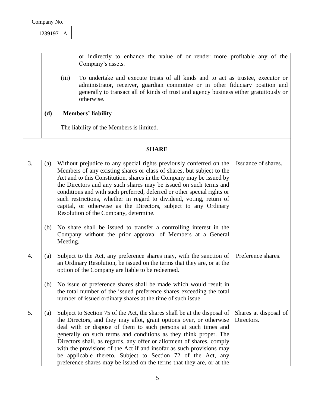or indirectly to enhance the value of or render more profitable any of the Company's assets. (iii) To undertake and execute trusts of all kinds and to act as trustee, executor or administrator, receiver, guardian committee or in other fiduciary position and generally to transact all of kinds of trust and agency business either gratuitously or otherwise. **(d) Members' liability** The liability of the Members is limited. **SHARE** 3.  $\vert$  (a) Without prejudice to any special rights previously conferred on the Members of any existing shares or class of shares, but subject to the Act and to this Constitution, shares in the Company may be issued by the Directors and any such shares may be issued on such terms and conditions and with such preferred, deferred or other special rights or such restrictions, whether in regard to dividend, voting, return of capital, or otherwise as the Directors, subject to any Ordinary Resolution of the Company, determine. (b) No share shall be issued to transfer a controlling interest in the Company without the prior approval of Members at a General Meeting. Issuance of shares. 4.  $\vert$  (a) Subject to the Act, any preference shares may, with the sanction of an Ordinary Resolution, be issued on the terms that they are, or at the option of the Company are liable to be redeemed. (b) No issue of preference shares shall be made which would result in the total number of the issued preference shares exceeding the total number of issued ordinary shares at the time of such issue. Preference shares. 5. (a) Subject to Section 75 of the Act, the shares shall be at the disposal of the Directors, and they may allot, grant options over, or otherwise deal with or dispose of them to such persons at such times and generally on such terms and conditions as they think proper. The Directors shall, as regards, any offer or allotment of shares, comply with the provisions of the Act if and insofar as such provisions may be applicable thereto. Subject to Section 72 of the Act, any preference shares may be issued on the terms that they are, or at the Shares at disposal of Directors.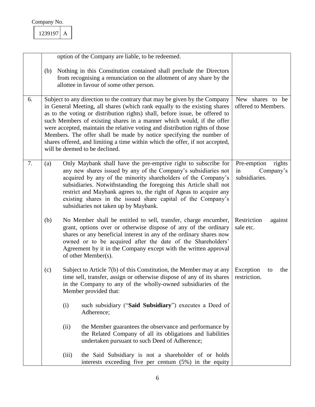| 239197 |
|--------|
|--------|

|    |     |       | option of the Company are liable, to be redeemed.                                                                                                                                                                                                                                                                                                                                                                                                                                                                                                                                       |                                                           |
|----|-----|-------|-----------------------------------------------------------------------------------------------------------------------------------------------------------------------------------------------------------------------------------------------------------------------------------------------------------------------------------------------------------------------------------------------------------------------------------------------------------------------------------------------------------------------------------------------------------------------------------------|-----------------------------------------------------------|
|    | (b) |       | Nothing in this Constitution contained shall preclude the Directors<br>from recognising a renunciation on the allotment of any share by the<br>allottee in favour of some other person.                                                                                                                                                                                                                                                                                                                                                                                                 |                                                           |
| 6. |     |       | Subject to any direction to the contrary that may be given by the Company<br>in General Meeting, all shares (which rank equally to the existing shares<br>as to the voting or distribution rights) shall, before issue, be offered to<br>such Members of existing shares in a manner which would, if the offer<br>were accepted, maintain the relative voting and distribution rights of those<br>Members. The offer shall be made by notice specifying the number of<br>shares offered, and limiting a time within which the offer, if not accepted,<br>will be deemed to be declined. | New shares to be<br>offered to Members.                   |
| 7. | (a) |       | Only Maybank shall have the pre-emptive right to subscribe for<br>any new shares issued by any of the Company's subsidiaries not<br>acquired by any of the minority shareholders of the Company's<br>subsidiaries. Notwithstanding the foregoing this Article shall not<br>restrict and Maybank agrees to, the right of Ageas to acquire any<br>existing shares in the issued share capital of the Company's<br>subsidiaries not taken up by Maybank.                                                                                                                                   | Pre-emption<br>rights<br>Company's<br>in<br>subsidiaries. |
|    | (b) |       | No Member shall be entitled to sell, transfer, charge encumber,<br>grant, options over or otherwise dispose of any of the ordinary<br>shares or any beneficial interest in any of the ordinary shares now<br>owned or to be acquired after the date of the Shareholders'<br>Agreement by it in the Company except with the written approval<br>of other Member(s).                                                                                                                                                                                                                      | Restriction<br>against<br>sale etc.                       |
|    | (c) |       | Subject to Article 7(b) of this Constitution, the Member may at any<br>time sell, transfer, assign or otherwise dispose of any of its shares<br>in the Company to any of the wholly-owned subsidiaries of the<br>Member provided that:                                                                                                                                                                                                                                                                                                                                                  | Exception<br>the<br>to<br>restriction.                    |
|    |     | (i)   | such subsidiary ("Said Subsidiary") executes a Deed of<br>Adherence;                                                                                                                                                                                                                                                                                                                                                                                                                                                                                                                    |                                                           |
|    |     | (ii)  | the Member guarantees the observance and performance by<br>the Related Company of all its obligations and liabilities<br>undertaken pursuant to such Deed of Adherence;                                                                                                                                                                                                                                                                                                                                                                                                                 |                                                           |
|    |     | (iii) | the Said Subsidiary is not a shareholder of or holds<br>interests exceeding five per centum (5%) in the equity                                                                                                                                                                                                                                                                                                                                                                                                                                                                          |                                                           |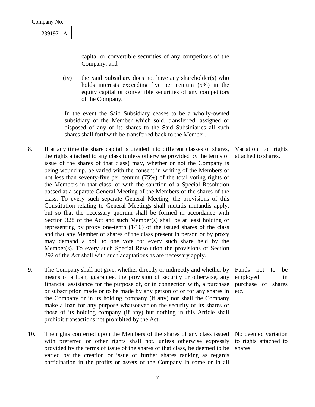|     | 1239197<br>A |                                                                                                                                                                                                                                                                                                                                                                                                                                                                                                                                                                                                                                                                                                                                                                                                                                                                                                                                                                                                                                                                                                                                                                                                                                      |                                                                          |
|-----|--------------|--------------------------------------------------------------------------------------------------------------------------------------------------------------------------------------------------------------------------------------------------------------------------------------------------------------------------------------------------------------------------------------------------------------------------------------------------------------------------------------------------------------------------------------------------------------------------------------------------------------------------------------------------------------------------------------------------------------------------------------------------------------------------------------------------------------------------------------------------------------------------------------------------------------------------------------------------------------------------------------------------------------------------------------------------------------------------------------------------------------------------------------------------------------------------------------------------------------------------------------|--------------------------------------------------------------------------|
|     |              | capital or convertible securities of any competitors of the<br>Company; and                                                                                                                                                                                                                                                                                                                                                                                                                                                                                                                                                                                                                                                                                                                                                                                                                                                                                                                                                                                                                                                                                                                                                          |                                                                          |
|     | (iv)         | the Said Subsidiary does not have any shareholder(s) who<br>holds interests exceeding five per centum (5%) in the<br>equity capital or convertible securities of any competitors<br>of the Company.                                                                                                                                                                                                                                                                                                                                                                                                                                                                                                                                                                                                                                                                                                                                                                                                                                                                                                                                                                                                                                  |                                                                          |
|     |              | In the event the Said Subsidiary ceases to be a wholly-owned<br>subsidiary of the Member which sold, transferred, assigned or<br>disposed of any of its shares to the Said Subsidiaries all such<br>shares shall forthwith be transferred back to the Member.                                                                                                                                                                                                                                                                                                                                                                                                                                                                                                                                                                                                                                                                                                                                                                                                                                                                                                                                                                        |                                                                          |
| 8.  |              | If at any time the share capital is divided into different classes of shares,<br>the rights attached to any class (unless otherwise provided by the terms of<br>issue of the shares of that class) may, whether or not the Company is<br>being wound up, be varied with the consent in writing of the Members of<br>not less than seventy-five per centum (75%) of the total voting rights of<br>the Members in that class, or with the sanction of a Special Resolution<br>passed at a separate General Meeting of the Members of the shares of the<br>class. To every such separate General Meeting, the provisions of this<br>Constitution relating to General Meetings shall mutatis mutandis apply,<br>but so that the necessary quorum shall be formed in accordance with<br>Section 328 of the Act and such Member(s) shall be at least holding or<br>representing by proxy one-tenth $(1/10)$ of the issued shares of the class<br>and that any Member of shares of the class present in person or by proxy<br>may demand a poll to one vote for every such share held by the<br>Member(s). To every such Special Resolution the provisions of Section<br>292 of the Act shall with such adaptations as are necessary apply. | Variation to rights<br>attached to shares.                               |
| 9.  |              | The Company shall not give, whether directly or indirectly and whether by<br>means of a loan, guarantee, the provision of security or otherwise, any<br>financial assistance for the purpose of, or in connection with, a purchase<br>or subscription made or to be made by any person of or for any shares in<br>the Company or in its holding company (if any) nor shall the Company<br>make a loan for any purpose whatsoever on the security of its shares or<br>those of its holding company (if any) but nothing in this Article shall<br>prohibit transactions not prohibited by the Act.                                                                                                                                                                                                                                                                                                                                                                                                                                                                                                                                                                                                                                     | Funds<br>not<br>be<br>to<br>employed<br>in<br>purchase of shares<br>etc. |
| 10. |              | The rights conferred upon the Members of the shares of any class issued<br>with preferred or other rights shall not, unless otherwise expressly<br>provided by the terms of issue of the shares of that class, be deemed to be<br>varied by the creation or issue of further shares ranking as regards<br>participation in the profits or assets of the Company in some or in all                                                                                                                                                                                                                                                                                                                                                                                                                                                                                                                                                                                                                                                                                                                                                                                                                                                    | No deemed variation<br>to rights attached to<br>shares.                  |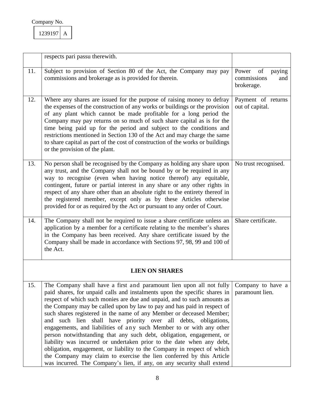| 239197 |  |
|--------|--|
|        |  |

|     | respects pari passu therewith.                                                                                                                                                                                                                                                                                                                                                                                                                                                                                                                                                                                                                                                                                                                                                                                                                                                                              |                                                        |
|-----|-------------------------------------------------------------------------------------------------------------------------------------------------------------------------------------------------------------------------------------------------------------------------------------------------------------------------------------------------------------------------------------------------------------------------------------------------------------------------------------------------------------------------------------------------------------------------------------------------------------------------------------------------------------------------------------------------------------------------------------------------------------------------------------------------------------------------------------------------------------------------------------------------------------|--------------------------------------------------------|
| 11. | Subject to provision of Section 80 of the Act, the Company may pay<br>commissions and brokerage as is provided for therein.                                                                                                                                                                                                                                                                                                                                                                                                                                                                                                                                                                                                                                                                                                                                                                                 | Power of<br>paying<br>commissions<br>and<br>brokerage. |
| 12. | Where any shares are issued for the purpose of raising money to defray<br>the expenses of the construction of any works or buildings or the provision<br>of any plant which cannot be made profitable for a long period the<br>Company may pay returns on so much of such share capital as is for the<br>time being paid up for the period and subject to the conditions and<br>restrictions mentioned in Section 130 of the Act and may charge the same<br>to share capital as part of the cost of construction of the works or buildings<br>or the provision of the plant.                                                                                                                                                                                                                                                                                                                                | Payment of returns<br>out of capital.                  |
| 13. | No person shall be recognised by the Company as holding any share upon<br>any trust, and the Company shall not be bound by or be required in any<br>way to recognise (even when having notice thereof) any equitable,<br>contingent, future or partial interest in any share or any other rights in<br>respect of any share other than an absolute right to the entirety thereof in<br>the registered member, except only as by these Articles otherwise<br>provided for or as required by the Act or pursuant to any order of Court.                                                                                                                                                                                                                                                                                                                                                                       | No trust recognised.                                   |
| 14. | The Company shall not be required to issue a share certificate unless an<br>application by a member for a certificate relating to the member's shares<br>in the Company has been received. Any share certificate issued by the<br>Company shall be made in accordance with Sections 97, 98, 99 and 100 of<br>the Act.                                                                                                                                                                                                                                                                                                                                                                                                                                                                                                                                                                                       | Share certificate.                                     |
|     | <b>LIEN ON SHARES</b>                                                                                                                                                                                                                                                                                                                                                                                                                                                                                                                                                                                                                                                                                                                                                                                                                                                                                       |                                                        |
| 15. | The Company shall have a first and paramount lien upon all not fully<br>paid shares, for unpaid calls and instalments upon the specific shares in<br>respect of which such monies are due and unpaid, and to such amounts as<br>the Company may be called upon by law to pay and has paid in respect of<br>such shares registered in the name of any Member or deceased Member;<br>such lien shall have priority over all debts, obligations,<br>and<br>engagements, and liabilities of any such Member to or with any other<br>person notwithstanding that any such debt, obligation, engagement, or<br>liability was incurred or undertaken prior to the date when any debt,<br>obligation, engagement, or liability to the Company in respect of which<br>the Company may claim to exercise the lien conferred by this Article<br>was incurred. The Company's lien, if any, on any security shall extend | Company to have a<br>paramount lien.                   |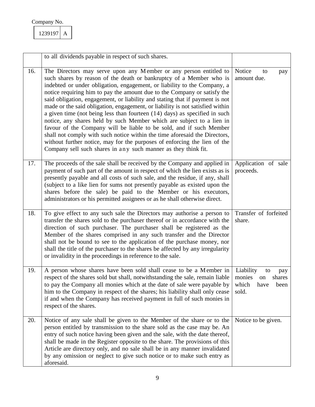| 239197 |  |
|--------|--|
|        |  |

|     | to all dividends payable in respect of such shares.                                                                                                                                                                                                                                                                                                                                                                                                                                                                                                                                                                                                                                                                                                                                                                                                                                                                            |                                                                                    |
|-----|--------------------------------------------------------------------------------------------------------------------------------------------------------------------------------------------------------------------------------------------------------------------------------------------------------------------------------------------------------------------------------------------------------------------------------------------------------------------------------------------------------------------------------------------------------------------------------------------------------------------------------------------------------------------------------------------------------------------------------------------------------------------------------------------------------------------------------------------------------------------------------------------------------------------------------|------------------------------------------------------------------------------------|
| 16. | The Directors may serve upon any Member or any person entitled to<br>such shares by reason of the death or bankruptcy of a Member who is<br>indebted or under obligation, engagement, or liability to the Company, a<br>notice requiring him to pay the amount due to the Company or satisfy the<br>said obligation, engagement, or liability and stating that if payment is not<br>made or the said obligation, engagement, or liability is not satisfied within<br>a given time (not being less than fourteen $(14)$ days) as specified in such<br>notice, any shares held by such Member which are subject to a lien in<br>favour of the Company will be liable to be sold, and if such Member<br>shall not comply with such notice within the time aforesaid the Directors,<br>without further notice, may for the purposes of enforcing the lien of the<br>Company sell such shares in any such manner as they think fit. | Notice<br>to<br>pay<br>amount due.                                                 |
| 17. | The proceeds of the sale shall be received by the Company and applied in<br>payment of such part of the amount in respect of which the lien exists as is<br>presently payable and all costs of such sale, and the residue, if any, shall<br>(subject to a like lien for sums not presently payable as existed upon the<br>shares before the sale) be paid to the Member or his executors,<br>administrators or his permitted assignees or as he shall otherwise direct.                                                                                                                                                                                                                                                                                                                                                                                                                                                        | Application of sale<br>proceeds.                                                   |
| 18. | To give effect to any such sale the Directors may authorise a person to<br>transfer the shares sold to the purchaser thereof or in accordance with the<br>direction of such purchaser. The purchaser shall be registered as the<br>Member of the shares comprised in any such transfer and the Director<br>shall not be bound to see to the application of the purchase money, nor<br>shall the title of the purchaser to the shares be affected by any irregularity<br>or invalidity in the proceedings in reference to the sale.                                                                                                                                                                                                                                                                                                                                                                                             | Transfer of forfeited<br>share.                                                    |
| 19. | A person whose shares have been sold shall cease to be a Member in<br>respect of the shares sold but shall, notwithstanding the sale, remain liable<br>to pay the Company all monies which at the date of sale were payable by<br>him to the Company in respect of the shares; his liability shall only cease<br>if and when the Company has received payment in full of such monies in<br>respect of the shares.                                                                                                                                                                                                                                                                                                                                                                                                                                                                                                              | Liability<br>to<br>pay<br>monies<br>shares<br>on<br>which<br>have<br>been<br>sold. |
| 20. | Notice of any sale shall be given to the Member of the share or to the<br>person entitled by transmission to the share sold as the case may be. An<br>entry of such notice having been given and the sale, with the date thereof,<br>shall be made in the Register opposite to the share. The provisions of this<br>Article are directory only, and no sale shall be in any manner invalidated<br>by any omission or neglect to give such notice or to make such entry as<br>aforesaid.                                                                                                                                                                                                                                                                                                                                                                                                                                        | Notice to be given.                                                                |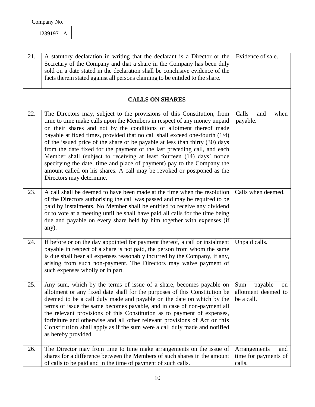| 21. | A statutory declaration in writing that the declarant is a Director or the<br>Secretary of the Company and that a share in the Company has been duly<br>sold on a date stated in the declaration shall be conclusive evidence of the<br>facts therein stated against all persons claiming to be entitled to the share.                                                                                                                                                                                                                                                                                                                                                                                                         | Evidence of sale.                                         |
|-----|--------------------------------------------------------------------------------------------------------------------------------------------------------------------------------------------------------------------------------------------------------------------------------------------------------------------------------------------------------------------------------------------------------------------------------------------------------------------------------------------------------------------------------------------------------------------------------------------------------------------------------------------------------------------------------------------------------------------------------|-----------------------------------------------------------|
|     | <b>CALLS ON SHARES</b>                                                                                                                                                                                                                                                                                                                                                                                                                                                                                                                                                                                                                                                                                                         |                                                           |
| 22. | The Directors may, subject to the provisions of this Constitution, from<br>time to time make calls upon the Members in respect of any money unpaid<br>on their shares and not by the conditions of allotment thereof made<br>payable at fixed times, provided that no call shall exceed one-fourth (1/4)<br>of the issued price of the share or be payable at less than thirty (30) days<br>from the date fixed for the payment of the last preceding call, and each<br>Member shall (subject to receiving at least fourteen (14) days' notice<br>specifying the date, time and place of payment) pay to the Company the<br>amount called on his shares. A call may be revoked or postponed as the<br>Directors may determine. | Calls<br>when<br>and<br>payable.                          |
| 23. | A call shall be deemed to have been made at the time when the resolution<br>of the Directors authorising the call was passed and may be required to be<br>paid by instalments. No Member shall be entitled to receive any dividend<br>or to vote at a meeting until he shall have paid all calls for the time being<br>due and payable on every share held by him together with expenses (if<br>any).                                                                                                                                                                                                                                                                                                                          | Calls when deemed.                                        |
| 24. | If before or on the day appointed for payment thereof, a call or instalment<br>payable in respect of a share is not paid, the person from whom the same<br>is due shall bear all expenses reasonably incurred by the Company, if any,<br>arising from such non-payment. The Directors may waive payment of<br>such expenses wholly or in part.                                                                                                                                                                                                                                                                                                                                                                                 | Unpaid calls.                                             |
| 25. | Any sum, which by the terms of issue of a share, becomes payable on<br>allotment or any fixed date shall for the purposes of this Constitution be<br>deemed to be a call duly made and payable on the date on which by the<br>terms of issue the same becomes payable, and in case of non-payment all<br>the relevant provisions of this Constitution as to payment of expenses,<br>forfeiture and otherwise and all other relevant provisions of Act or this<br>Constitution shall apply as if the sum were a call duly made and notified<br>as hereby provided.                                                                                                                                                              | payable<br>Sum<br>on<br>allotment deemed to<br>be a call. |
| 26. | The Director may from time to time make arrangements on the issue of<br>shares for a difference between the Members of such shares in the amount<br>of calls to be paid and in the time of payment of such calls.                                                                                                                                                                                                                                                                                                                                                                                                                                                                                                              | Arrangements<br>and<br>time for payments of<br>calls.     |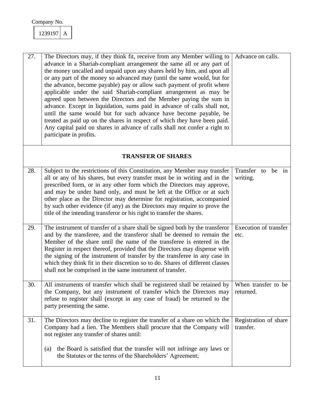

| 27. | The Directors may, if they think fit, receive from any Member willing to<br>advance in a Shariah-compliant arrangement the same all or any part of<br>the money uncalled and unpaid upon any shares held by him, and upon all<br>or any part of the money so advanced may (until the same would, but for<br>the advance, become payable) pay or allow such payment of profit where<br>applicable under the said Shariah-compliant arrangement as may be<br>agreed upon between the Directors and the Member paying the sum in<br>advance. Except in liquidation, sums paid in advance of calls shall not,<br>until the same would but for such advance have become payable, be<br>treated as paid up on the shares in respect of which they have been paid.<br>Any capital paid on shares in advance of calls shall not confer a right to<br>participate in profits. | Advance on calls.                  |
|-----|----------------------------------------------------------------------------------------------------------------------------------------------------------------------------------------------------------------------------------------------------------------------------------------------------------------------------------------------------------------------------------------------------------------------------------------------------------------------------------------------------------------------------------------------------------------------------------------------------------------------------------------------------------------------------------------------------------------------------------------------------------------------------------------------------------------------------------------------------------------------|------------------------------------|
|     | <b>TRANSFER OF SHARES</b>                                                                                                                                                                                                                                                                                                                                                                                                                                                                                                                                                                                                                                                                                                                                                                                                                                            |                                    |
| 28. | Subject to the restrictions of this Constitution, any Member may transfer<br>all or any of his shares, but every transfer must be in writing and in the<br>prescribed form, or in any other form which the Directors may approve,<br>and may be under hand only, and must be left at the Office or at such<br>other place as the Director may determine for registration, accompanied<br>by such other evidence (if any) as the Directors may require to prove the<br>title of the intending transferor or his right to transfer the shares.                                                                                                                                                                                                                                                                                                                         | Transfer to be in<br>writing.      |
| 29. | The instrument of transfer of a share shall be signed both by the transferor<br>and by the transferee, and the transferor shall be deemed to remain the<br>Member of the share until the name of the transferee is entered in the<br>Register in respect thereof, provided that the Directors may dispense with<br>the signing of the instrument of transfer by the transferee in any case in<br>which they think fit in their discretion so to do. Shares of different classes<br>shall not be comprised in the same instrument of transfer.                                                                                                                                                                                                                                                                                                                        | Execution of transfer<br>etc.      |
| 30. | All instruments of transfer which shall be registered shall be retained by<br>the Company, but any instrument of transfer which the Directors may<br>refuse to register shall (except in any case of fraud) be returned to the<br>party presenting the same.                                                                                                                                                                                                                                                                                                                                                                                                                                                                                                                                                                                                         | When transfer to be<br>returned.   |
| 31. | The Directors may decline to register the transfer of a share on which the<br>Company had a lien. The Members shall procure that the Company will<br>not register any transfer of shares until:<br>the Board is satisfied that the transfer will not infringe any laws or<br>(a)<br>the Statutes or the terms of the Shareholders' Agreement;                                                                                                                                                                                                                                                                                                                                                                                                                                                                                                                        | Registration of share<br>transfer. |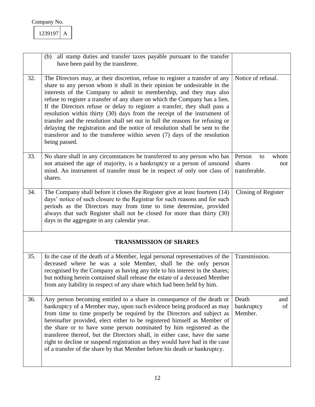|     | all stamp duties and transfer taxes payable pursuant to the transfer<br>(b)<br>have been paid by the transferee.                                                                                                                                                                                                                                                                                                                                                                                                                                                                                                                                                                                                                       |                                                        |
|-----|----------------------------------------------------------------------------------------------------------------------------------------------------------------------------------------------------------------------------------------------------------------------------------------------------------------------------------------------------------------------------------------------------------------------------------------------------------------------------------------------------------------------------------------------------------------------------------------------------------------------------------------------------------------------------------------------------------------------------------------|--------------------------------------------------------|
| 32. | The Directors may, at their discretion, refuse to register a transfer of any<br>share to any person whom it shall in their opinion be undesirable in the<br>interests of the Company to admit to membership, and they may also<br>refuse to register a transfer of any share on which the Company has a lien.<br>If the Directors refuse or delay to register a transfer, they shall pass a<br>resolution within thirty (30) days from the receipt of the instrument of<br>transfer and the resolution shall set out in full the reasons for refusing or<br>delaying the registration and the notice of resolution shall be sent to the<br>transferor and to the transferee within seven $(7)$ days of the resolution<br>being passed. | Notice of refusal.                                     |
| 33. | No share shall in any circumstances be transferred to any person who has<br>not attained the age of majority, is a bankruptcy or a person of unsound<br>mind. An instrument of transfer must be in respect of only one class of<br>shares.                                                                                                                                                                                                                                                                                                                                                                                                                                                                                             | Person<br>whom<br>to<br>shares<br>not<br>transferable. |
| 34. | The Company shall before it closes the Register give at least fourteen (14)<br>days' notice of such closure to the Registrar for such reasons and for such<br>periods as the Directors may from time to time determine, provided<br>always that such Register shall not be closed for more than thirty (30)<br>days in the aggregate in any calendar year.                                                                                                                                                                                                                                                                                                                                                                             | Closing of Register                                    |
|     | <b>TRANSMISSION OF SHARES</b>                                                                                                                                                                                                                                                                                                                                                                                                                                                                                                                                                                                                                                                                                                          |                                                        |
| 35. | In the case of the death of a Member, legal personal representatives of the<br>deceased where he was a sole Member, shall be the only person<br>recognised by the Company as having any title to his interest in the shares;<br>but nothing herein contained shall release the estate of a deceased Member<br>from any liability in respect of any share which had been held by him.                                                                                                                                                                                                                                                                                                                                                   | Transmission.                                          |
| 36. | Any person becoming entitled to a share in consequence of the death or<br>bankruptcy of a Member may, upon such evidence being produced as may<br>from time to time properly be required by the Directors and subject as<br>hereinafter provided, elect either to be registered himself as Member of<br>the share or to have some person nominated by him registered as the<br>transferee thereof, but the Directors shall, in either case, have the same<br>right to decline or suspend registration as they would have had in the case<br>of a transfer of the share by that Member before his death or bankruptcy.                                                                                                                  | Death<br>and<br>bankruptcy<br>of<br>Member.            |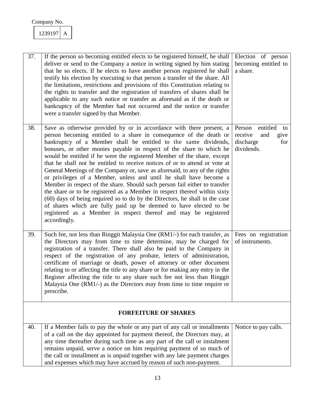| 37. | If the person so becoming entitled elects to be registered himself, he shall<br>deliver or send to the Company a notice in writing signed by him stating<br>that he so elects. If he elects to have another person registered he shall<br>testify his election by executing to that person a transfer of the share. All<br>the limitations, restrictions and provisions of this Constitution relating to<br>the rights to transfer and the registration of transfers of shares shall be<br>applicable to any such notice or transfer as aforesaid as if the death or<br>bankruptcy of the Member had not occurred and the notice or transfer<br>were a transfer signed by that Member.                                                                                                                                                                                                                                                                                                                 | Election of person<br>becoming entitled to<br>a share.                               |
|-----|--------------------------------------------------------------------------------------------------------------------------------------------------------------------------------------------------------------------------------------------------------------------------------------------------------------------------------------------------------------------------------------------------------------------------------------------------------------------------------------------------------------------------------------------------------------------------------------------------------------------------------------------------------------------------------------------------------------------------------------------------------------------------------------------------------------------------------------------------------------------------------------------------------------------------------------------------------------------------------------------------------|--------------------------------------------------------------------------------------|
| 38. | Save as otherwise provided by or in accordance with there present, a<br>person becoming entitled to a share in consequence of the death or<br>bankruptcy of a Member shall be entitled to the same dividends,<br>bonuses, or other monies payable in respect of the share to which he<br>would be entitled if he were the registered Member of the share, except<br>that he shall not be entitled to receive notices of or to attend or vote at<br>General Meetings of the Company or, save as aforesaid, to any of the rights<br>or privileges of a Member, unless and until he shall have become a<br>Member in respect of the share. Should such person fail either to transfer<br>the share or to be registered as a Member in respect thereof within sixty<br>(60) days of being required so to do by the Directors, he shall in the case<br>of shares which are fully paid up be deemed to have elected to be<br>registered as a Member in respect thereof and may be registered<br>accordingly. | Person<br>entitled<br>to<br>receive<br>and<br>give<br>discharge<br>for<br>dividends. |
| 39. | Such fee, not less than Ringgit Malaysia One (RM1/-) for each transfer, as<br>the Directors may from time to time determine, may be charged for<br>registration of a transfer. There shall also be paid to the Company in<br>respect of the registration of any probate, letters of administration,<br>certificate of marriage or death, power of attorney or other document<br>relating to or affecting the title to any share or for making any entry in the<br>Register affecting the title to any share such fee not less than Ringgit<br>Malaysia One (RM1/-) as the Directors may from time to time require or<br>prescribe.                                                                                                                                                                                                                                                                                                                                                                     | Fees on registration<br>of instruments.                                              |
|     | <b>FORFEITURE OF SHARES</b>                                                                                                                                                                                                                                                                                                                                                                                                                                                                                                                                                                                                                                                                                                                                                                                                                                                                                                                                                                            |                                                                                      |
| 40. | If a Member fails to pay the whole or any part of any call or installments<br>of a call on the day appointed for payment thereof, the Directors may, at<br>any time thereafter during such time as any part of the call or instalment<br>remains unpaid, serve a notice on him requiring payment of so much of<br>the call or installment as is unpaid together with any late payment charges<br>and expenses which may have accrued by reason of such non-payment.                                                                                                                                                                                                                                                                                                                                                                                                                                                                                                                                    | Notice to pay calls.                                                                 |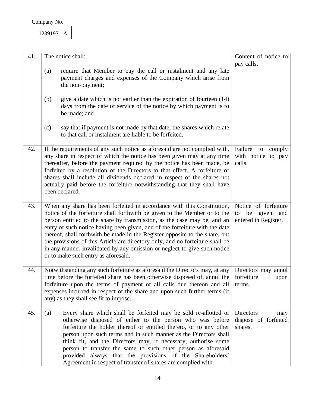| 41. | The notice shall:                                                                                                                                                                                                                                                                                                                                                                                                                                                                                                                                                                                  | Content of notice to                                                  |
|-----|----------------------------------------------------------------------------------------------------------------------------------------------------------------------------------------------------------------------------------------------------------------------------------------------------------------------------------------------------------------------------------------------------------------------------------------------------------------------------------------------------------------------------------------------------------------------------------------------------|-----------------------------------------------------------------------|
|     | require that Member to pay the call or instalment and any late<br>(a)<br>payment charges and expenses of the Company which arise from<br>the non-payment;                                                                                                                                                                                                                                                                                                                                                                                                                                          | pay calls.                                                            |
|     | give a date which is not earlier than the expiration of fourteen $(14)$<br>(b)<br>days from the date of service of the notice by which payment is to<br>be made; and                                                                                                                                                                                                                                                                                                                                                                                                                               |                                                                       |
|     | say that if payment is not made by that date, the shares which relate<br>(c)<br>to that call or instalment are liable to be forfeited.                                                                                                                                                                                                                                                                                                                                                                                                                                                             |                                                                       |
| 42. | If the requirements of any such notice as aforesaid are not complied with,<br>any share in respect of which the notice has been given may at any time<br>thereafter, before the payment required by the notice has been made, be<br>forfeited by a resolution of the Directors to that effect. A forfeiture of<br>shares shall include all dividends declared in respect of the shares not<br>actually paid before the forfeiture notwithstanding that they shall have<br>been declared.                                                                                                           | Failure to<br>comply<br>with notice to pay<br>calls.                  |
| 43. | When any share has been forfeited in accordance with this Constitution,<br>notice of the forfeiture shall forthwith be given to the Member or to the<br>person entitled to the share by transmission, as the case may be, and an<br>entry of such notice having been given, and of the forfeiture with the date<br>thereof, shall forthwith be made in the Register opposite to the share, but<br>the provisions of this Article are directory only, and no forfeiture shall be<br>in any manner invalidated by any omission or neglect to give such notice<br>or to make such entry as aforesaid. | Notice of forfeiture<br>be given<br>and<br>to<br>entered in Register. |
| 44. | Notwithstanding any such forfeiture as aforesaid the Directors may, at any<br>time before the forfeited share has been otherwise disposed of, annul the<br>forfeiture upon the terms of payment of all calls due thereon and all<br>expenses incurred in respect of the share and upon such further terms (if<br>any) as they shall see fit to impose.                                                                                                                                                                                                                                             | Directors may annul<br>forfeiture<br>upon<br>terms.                   |
| 45. | Every share which shall be forfeited may be sold re-allotted or<br>(a)<br>otherwise disposed of either to the person who was before<br>forfeiture the holder thereof or entitled thereto, or to any other<br>person upon such terms and in such manner as the Directors shall<br>think fit, and the Directors may, if necessary, authorise some<br>person to transfer the same to such other person as aforesaid<br>provided always that the provisions of the Shareholders'<br>Agreement in respect of transfer of shares are complied with.                                                      | <b>Directors</b><br>may<br>dispose of forfeited<br>shares.            |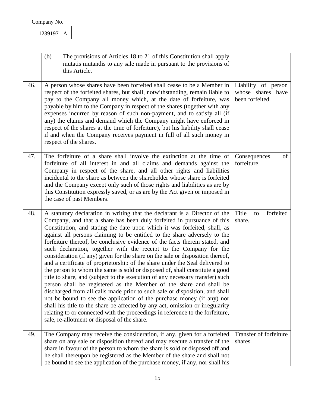|     | (b)<br>The provisions of Articles 18 to 21 of this Constitution shall apply<br>mutatis mutandis to any sale made in pursuant to the provisions of<br>this Article.                                                                                                                                                                                                                                                                                                                                                                                                                                                                                                                                                                                                                                                                                                                                                                                                                                                                                                                                                                                                                                                                                     |                                                             |
|-----|--------------------------------------------------------------------------------------------------------------------------------------------------------------------------------------------------------------------------------------------------------------------------------------------------------------------------------------------------------------------------------------------------------------------------------------------------------------------------------------------------------------------------------------------------------------------------------------------------------------------------------------------------------------------------------------------------------------------------------------------------------------------------------------------------------------------------------------------------------------------------------------------------------------------------------------------------------------------------------------------------------------------------------------------------------------------------------------------------------------------------------------------------------------------------------------------------------------------------------------------------------|-------------------------------------------------------------|
| 46. | A person whose shares have been forfeited shall cease to be a Member in<br>respect of the forfeited shares, but shall, notwithstanding, remain liable to<br>pay to the Company all money which, at the date of forfeiture, was<br>payable by him to the Company in respect of the shares (together with any<br>expenses incurred by reason of such non-payment, and to satisfy all (if<br>any) the claims and demand which the Company might have enforced in<br>respect of the shares at the time of forfeiture), but his liability shall cease<br>if and when the Company receives payment in full of all such money in<br>respect of the shares.                                                                                                                                                                                                                                                                                                                                                                                                                                                                                                                                                                                                    | Liability of person<br>whose shares have<br>been forfeited. |
| 47. | The forfeiture of a share shall involve the extinction at the time of<br>forfeiture of all interest in and all claims and demands against the<br>Company in respect of the share, and all other rights and liabilities<br>incidental to the share as between the shareholder whose share is forfeited<br>and the Company except only such of those rights and liabilities as are by<br>this Constitution expressly saved, or as are by the Act given or imposed in<br>the case of past Members.                                                                                                                                                                                                                                                                                                                                                                                                                                                                                                                                                                                                                                                                                                                                                        | Consequences<br>of<br>forfeiture.                           |
| 48. | A statutory declaration in writing that the declarant is a Director of the<br>Company, and that a share has been duly forfeited in pursuance of this<br>Constitution, and stating the date upon which it was forfeited, shall, as<br>against all persons claiming to be entitled to the share adversely to the<br>forfeiture thereof, be conclusive evidence of the facts therein stated, and<br>such declaration, together with the receipt to the Company for the<br>consideration (if any) given for the share on the sale or disposition thereof,<br>and a certificate of proprietorship of the share under the Seal delivered to<br>the person to whom the same is sold or disposed of, shall constitute a good<br>title to share, and (subject to the execution of any necessary transfer) such<br>person shall be registered as the Member of the share and shall be<br>discharged from all calls made prior to such sale or disposition, and shall<br>not be bound to see the application of the purchase money (if any) nor<br>shall his title to the share be affected by any act, omission or irregularity<br>relating to or connected with the proceedings in reference to the forfeiture,<br>sale, re-allotment or disposal of the share. | Title<br>forfeited<br>to<br>share.                          |
| 49. | The Company may receive the consideration, if any, given for a forfeited<br>share on any sale or disposition thereof and may execute a transfer of the<br>share in favour of the person to whom the share is sold or disposed off and<br>he shall thereupon be registered as the Member of the share and shall not<br>be bound to see the application of the purchase money, if any, nor shall his                                                                                                                                                                                                                                                                                                                                                                                                                                                                                                                                                                                                                                                                                                                                                                                                                                                     | Transfer of forfeiture<br>shares.                           |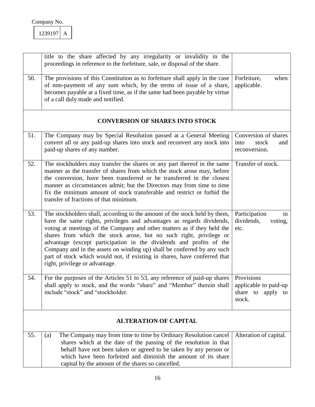|     | title to the share affected by any irregularity or invalidity in the<br>proceedings in reference to the forfeiture, sale, or disposal of the share.                                                                                                                                                                                                                                                                                                                                                                                                                   |                                                                    |
|-----|-----------------------------------------------------------------------------------------------------------------------------------------------------------------------------------------------------------------------------------------------------------------------------------------------------------------------------------------------------------------------------------------------------------------------------------------------------------------------------------------------------------------------------------------------------------------------|--------------------------------------------------------------------|
| 50. | The provisions of this Constitution as to forfeiture shall apply in the case<br>of non-payment of any sum which, by the terms of issue of a share,<br>becomes payable at a fixed time, as if the same had been payable by virtue<br>of a call duly made and notified.                                                                                                                                                                                                                                                                                                 | Forfeiture,<br>when<br>applicable.                                 |
|     | <b>CONVERSION OF SHARES INTO STOCK</b>                                                                                                                                                                                                                                                                                                                                                                                                                                                                                                                                |                                                                    |
| 51. | The Company may by Special Resolution passed at a General Meeting<br>convert all or any paid-up shares into stock and reconvert any stock into<br>paid-up shares of any number.                                                                                                                                                                                                                                                                                                                                                                                       | Conversion of shares<br>stock<br>into<br>and<br>reconversion.      |
| 52. | The stockholders may transfer the shares or any part thereof in the same<br>manner as the transfer of shares from which the stock arose may, before<br>the conversion, have been transferred or be transferred in the closest<br>manner as circumstances admit; but the Directors may from time to time<br>fix the minimum amount of stock transferable and restrict or forbid the<br>transfer of fractions of that minimum.                                                                                                                                          | Transfer of stock.                                                 |
| 53. | The stockholders shall, according to the amount of the stock held by them,<br>have the same rights, privileges and advantages as regards dividends,<br>voting at meetings of the Company and other matters as if they held the<br>shares from which the stock arose, but no such right, privilege or<br>advantage (except participation in the dividends and profits of the<br>Company and in the assets on winding up) shall be conferred by any such<br>part of stock which would not, if existing in shares, have conferred that<br>right, privilege or advantage. | Participation<br>in<br>dividends,<br>voting,<br>etc.               |
| 54. | For the purposes of the Articles 51 to 53, any reference of paid-up shares<br>shall apply to stock, and the words "share" and "Member" therein shall<br>include "stock" and "stockholder.                                                                                                                                                                                                                                                                                                                                                                             | Provisions<br>applicable to paid-up<br>share to apply to<br>stock. |
|     | <b>ALTERATION OF CAPITAL</b>                                                                                                                                                                                                                                                                                                                                                                                                                                                                                                                                          |                                                                    |
| 55. | The Company may from time to time by Ordinary Resolution cancel<br>(a)<br>shares which at the date of the passing of the resolution in that<br>behalf have not been taken or agreed to be taken by any person or<br>which have been forfeited and diminish the amount of its share<br>capital by the amount of the shares so cancelled.                                                                                                                                                                                                                               | Alteration of capital.                                             |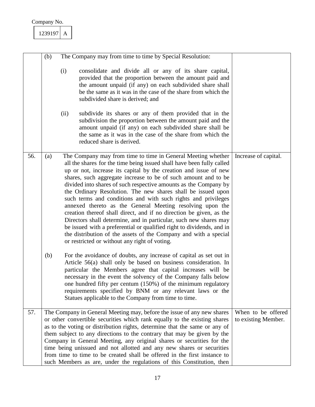|     | (b) |             | The Company may from time to time by Special Resolution:                                                                                                                                                                                                                                                                                                                                                                                                                                                                                                                                                                                                                                                                                                                                                                                                                                |                      |
|-----|-----|-------------|-----------------------------------------------------------------------------------------------------------------------------------------------------------------------------------------------------------------------------------------------------------------------------------------------------------------------------------------------------------------------------------------------------------------------------------------------------------------------------------------------------------------------------------------------------------------------------------------------------------------------------------------------------------------------------------------------------------------------------------------------------------------------------------------------------------------------------------------------------------------------------------------|----------------------|
|     |     | (i)<br>(ii) | consolidate and divide all or any of its share capital,<br>provided that the proportion between the amount paid and<br>the amount unpaid (if any) on each subdivided share shall<br>be the same as it was in the case of the share from which the<br>subdivided share is derived; and<br>subdivide its shares or any of them provided that in the<br>subdivision the proportion between the amount paid and the<br>amount unpaid (if any) on each subdivided share shall be<br>the same as it was in the case of the share from which the<br>reduced share is derived.                                                                                                                                                                                                                                                                                                                  |                      |
|     |     |             |                                                                                                                                                                                                                                                                                                                                                                                                                                                                                                                                                                                                                                                                                                                                                                                                                                                                                         |                      |
| 56. | (a) |             | The Company may from time to time in General Meeting whether<br>all the shares for the time being issued shall have been fully called<br>up or not, increase its capital by the creation and issue of new<br>shares, such aggregate increase to be of such amount and to be<br>divided into shares of such respective amounts as the Company by<br>the Ordinary Resolution. The new shares shall be issued upon<br>such terms and conditions and with such rights and privileges<br>annexed thereto as the General Meeting resolving upon the<br>creation thereof shall direct, and if no direction be given, as the<br>Directors shall determine, and in particular, such new shares may<br>be issued with a preferential or qualified right to dividends, and in<br>the distribution of the assets of the Company and with a special<br>or restricted or without any right of voting. | Increase of capital. |
|     | (b) |             | For the avoidance of doubts, any increase of capital as set out in<br>Article 56(a) shall only be based on business consideration. In<br>particular the Members agree that capital increases will be<br>necessary in the event the solvency of the Company falls below<br>one hundred fifty per centum (150%) of the minimum regulatory<br>requirements specified by BNM or any relevant laws or the<br>Statues applicable to the Company from time to time.                                                                                                                                                                                                                                                                                                                                                                                                                            |                      |
| 57. |     |             | The Company in General Meeting may, before the issue of any new shares                                                                                                                                                                                                                                                                                                                                                                                                                                                                                                                                                                                                                                                                                                                                                                                                                  | When to be offered   |
|     |     |             | or other convertible securities which rank equally to the existing shares<br>as to the voting or distribution rights, determine that the same or any of<br>them subject to any directions to the contrary that may be given by the<br>Company in General Meeting, any original shares or securities for the<br>time being unissued and not allotted and any new shares or securities<br>from time to time to be created shall be offered in the first instance to<br>such Members as are, under the regulations of this Constitution, then                                                                                                                                                                                                                                                                                                                                              | to existing Member.  |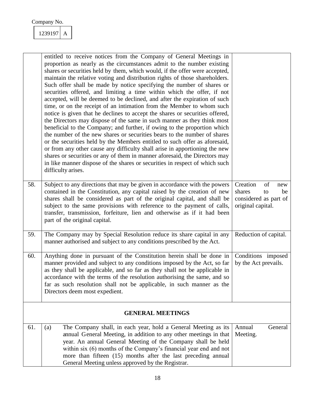|     | entitled to receive notices from the Company of General Meetings in<br>proportion as nearly as the circumstances admit to the number existing<br>shares or securities held by them, which would, if the offer were accepted,<br>maintain the relative voting and distribution rights of those shareholders.<br>Such offer shall be made by notice specifying the number of shares or<br>securities offered, and limiting a time within which the offer, if not<br>accepted, will be deemed to be declined, and after the expiration of such<br>time, or on the receipt of an intimation from the Member to whom such<br>notice is given that he declines to accept the shares or securities offered,<br>the Directors may dispose of the same in such manner as they think most<br>beneficial to the Company; and further, if owing to the proportion which<br>the number of the new shares or securities bears to the number of shares<br>or the securities held by the Members entitled to such offer as aforesaid,<br>or from any other cause any difficulty shall arise in apportioning the new<br>shares or securities or any of them in manner aforesaid, the Directors may<br>in like manner dispose of the shares or securities in respect of which such<br>difficulty arises. |                                                                                           |
|-----|----------------------------------------------------------------------------------------------------------------------------------------------------------------------------------------------------------------------------------------------------------------------------------------------------------------------------------------------------------------------------------------------------------------------------------------------------------------------------------------------------------------------------------------------------------------------------------------------------------------------------------------------------------------------------------------------------------------------------------------------------------------------------------------------------------------------------------------------------------------------------------------------------------------------------------------------------------------------------------------------------------------------------------------------------------------------------------------------------------------------------------------------------------------------------------------------------------------------------------------------------------------------------------------|-------------------------------------------------------------------------------------------|
| 58. | Subject to any directions that may be given in accordance with the powers<br>contained in the Constitution, any capital raised by the creation of new<br>shares shall be considered as part of the original capital, and shall be<br>subject to the same provisions with reference to the payment of calls,<br>transfer, transmission, forfeiture, lien and otherwise as if it had been<br>part of the original capital.                                                                                                                                                                                                                                                                                                                                                                                                                                                                                                                                                                                                                                                                                                                                                                                                                                                               | Creation<br>of<br>new<br>shares<br>be<br>to<br>considered as part of<br>original capital. |
| 59. | The Company may by Special Resolution reduce its share capital in any<br>manner authorised and subject to any conditions prescribed by the Act.                                                                                                                                                                                                                                                                                                                                                                                                                                                                                                                                                                                                                                                                                                                                                                                                                                                                                                                                                                                                                                                                                                                                        | Reduction of capital.                                                                     |
| 60. | Anything done in pursuant of the Constitution herein shall be done in<br>manner provided and subject to any conditions imposed by the Act, so far<br>as they shall be applicable, and so far as they shall not be applicable in<br>accordance with the terms of the resolution authorising the same, and so<br>far as such resolution shall not be applicable, in such manner as the<br>Directors deem most expedient.                                                                                                                                                                                                                                                                                                                                                                                                                                                                                                                                                                                                                                                                                                                                                                                                                                                                 | Conditions imposed<br>by the Act prevails.                                                |
|     | <b>GENERAL MEETINGS</b>                                                                                                                                                                                                                                                                                                                                                                                                                                                                                                                                                                                                                                                                                                                                                                                                                                                                                                                                                                                                                                                                                                                                                                                                                                                                |                                                                                           |
| 61. | The Company shall, in each year, hold a General Meeting as its<br>(a)<br>annual General Meeting, in addition to any other meetings in that<br>year. An annual General Meeting of the Company shall be held<br>within six (6) months of the Company's financial year end and not<br>more than fifteen (15) months after the last preceding annual<br>General Meeting unless approved by the Registrar.                                                                                                                                                                                                                                                                                                                                                                                                                                                                                                                                                                                                                                                                                                                                                                                                                                                                                  | Annual<br>General<br>Meeting.                                                             |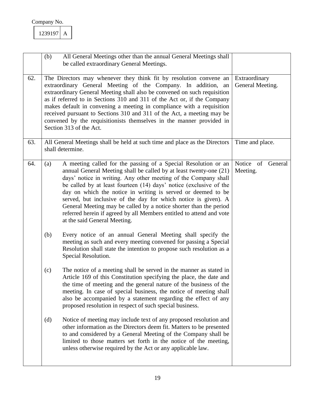|     | All General Meetings other than the annual General Meetings shall<br>(b)<br>be called extraordinary General Meetings.                                                                                                                                                                                                                                                                                                                                                                                                                                                                                                                                                                                                                         |                               |  |  |
|-----|-----------------------------------------------------------------------------------------------------------------------------------------------------------------------------------------------------------------------------------------------------------------------------------------------------------------------------------------------------------------------------------------------------------------------------------------------------------------------------------------------------------------------------------------------------------------------------------------------------------------------------------------------------------------------------------------------------------------------------------------------|-------------------------------|--|--|
| 62. | The Directors may whenever they think fit by resolution convene an<br>Extraordinary<br>extraordinary General Meeting of the Company. In addition, an<br>General Meeting.<br>extraordinary General Meeting shall also be convened on such requisition<br>as if referred to in Sections 310 and 311 of the Act or, if the Company<br>makes default in convening a meeting in compliance with a requisition<br>received pursuant to Sections 310 and 311 of the Act, a meeting may be<br>convened by the requisitionists themselves in the manner provided in<br>Section 313 of the Act.                                                                                                                                                         |                               |  |  |
| 63. | All General Meetings shall be held at such time and place as the Directors<br>shall determine.                                                                                                                                                                                                                                                                                                                                                                                                                                                                                                                                                                                                                                                | Time and place.               |  |  |
| 64. | A meeting called for the passing of a Special Resolution or an<br>(a)<br>annual General Meeting shall be called by at least twenty-one (21)<br>days' notice in writing. Any other meeting of the Company shall<br>be called by at least fourteen (14) days' notice (exclusive of the<br>day on which the notice in writing is served or deemed to be<br>served, but inclusive of the day for which notice is given). A<br>General Meeting may be called by a notice shorter than the period<br>referred herein if agreed by all Members entitled to attend and vote<br>at the said General Meeting.<br>(b)<br>Every notice of an annual General Meeting shall specify the<br>meeting as such and every meeting convened for passing a Special | Notice of General<br>Meeting. |  |  |
|     | Resolution shall state the intention to propose such resolution as a<br>Special Resolution.                                                                                                                                                                                                                                                                                                                                                                                                                                                                                                                                                                                                                                                   |                               |  |  |
|     | The notice of a meeting shall be served in the manner as stated in<br>(c)<br>Article 169 of this Constitution specifying the place, the date and<br>the time of meeting and the general nature of the business of the<br>meeting. In case of special business, the notice of meeting shall<br>also be accompanied by a statement regarding the effect of any<br>proposed resolution in respect of such special business.                                                                                                                                                                                                                                                                                                                      |                               |  |  |
|     | Notice of meeting may include text of any proposed resolution and<br>(d)<br>other information as the Directors deem fit. Matters to be presented<br>to and considered by a General Meeting of the Company shall be<br>limited to those matters set forth in the notice of the meeting,<br>unless otherwise required by the Act or any applicable law.                                                                                                                                                                                                                                                                                                                                                                                         |                               |  |  |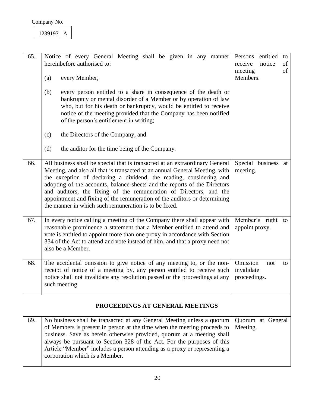| 65. | Notice of every General Meeting shall be given in any manner<br>hereinbefore authorised to:<br>every Member,<br>(a)<br>(b)<br>every person entitled to a share in consequence of the death or<br>bankruptcy or mental disorder of a Member or by operation of law<br>who, but for his death or bankruptcy, would be entitled to receive<br>notice of the meeting provided that the Company has been notified<br>of the person's entitlement in writing;<br>the Directors of the Company, and<br>(c)<br>(d)<br>the auditor for the time being of the Company. | entitled<br>Persons<br>to<br>of<br>receive<br>notice<br>meeting<br>of<br>Members. |
|-----|--------------------------------------------------------------------------------------------------------------------------------------------------------------------------------------------------------------------------------------------------------------------------------------------------------------------------------------------------------------------------------------------------------------------------------------------------------------------------------------------------------------------------------------------------------------|-----------------------------------------------------------------------------------|
| 66. | All business shall be special that is transacted at an extraordinary General<br>Meeting, and also all that is transacted at an annual General Meeting, with<br>the exception of declaring a dividend, the reading, considering and<br>adopting of the accounts, balance-sheets and the reports of the Directors<br>and auditors, the fixing of the remuneration of Directors, and the<br>appointment and fixing of the remuneration of the auditors or determining<br>the manner in which such remuneration is to be fixed.                                  | Special business at<br>meeting.                                                   |
| 67. | In every notice calling a meeting of the Company there shall appear with<br>reasonable prominence a statement that a Member entitled to attend and<br>vote is entitled to appoint more than one proxy in accordance with Section<br>334 of the Act to attend and vote instead of him, and that a proxy need not<br>also be a Member.                                                                                                                                                                                                                         | Member's right<br>to<br>appoint proxy.                                            |
| 68. | The accidental omission to give notice of any meeting to, or the non-<br>receipt of notice of a meeting by, any person entitled to receive such<br>notice shall not invalidate any resolution passed or the proceedings at any<br>such meeting.                                                                                                                                                                                                                                                                                                              | Omission<br>not<br>to<br>invalidate<br>proceedings.                               |
|     | PROCEEDINGS AT GENERAL MEETINGS                                                                                                                                                                                                                                                                                                                                                                                                                                                                                                                              |                                                                                   |
| 69. | No business shall be transacted at any General Meeting unless a quorum<br>of Members is present in person at the time when the meeting proceeds to<br>business. Save as herein otherwise provided, quorum at a meeting shall<br>always be pursuant to Section 328 of the Act. For the purposes of this<br>Article "Member" includes a person attending as a proxy or representing a<br>corporation which is a Member.                                                                                                                                        | Quorum at General<br>Meeting.                                                     |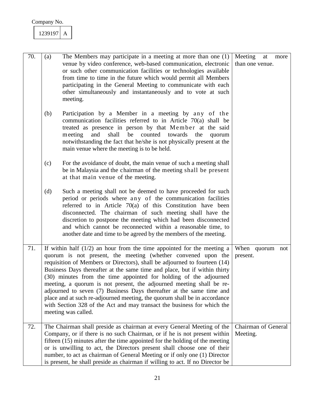| 70. | (a)                                                                                                                                                                                                                                                                                                                                                                                                                                                                                                                                                                                                                                                                                                     | The Members may participate in a meeting at more than one (1)<br>venue by video conference, web-based communication, electronic<br>or such other communication facilities or technologies available<br>from time to time in the future which would permit all Members<br>participating in the General Meeting to communicate with each<br>other simultaneously and instantaneously and to vote at such<br>meeting.                                                            | Meeting<br>at<br>more<br>than one venue. |
|-----|---------------------------------------------------------------------------------------------------------------------------------------------------------------------------------------------------------------------------------------------------------------------------------------------------------------------------------------------------------------------------------------------------------------------------------------------------------------------------------------------------------------------------------------------------------------------------------------------------------------------------------------------------------------------------------------------------------|-------------------------------------------------------------------------------------------------------------------------------------------------------------------------------------------------------------------------------------------------------------------------------------------------------------------------------------------------------------------------------------------------------------------------------------------------------------------------------|------------------------------------------|
|     | (b)                                                                                                                                                                                                                                                                                                                                                                                                                                                                                                                                                                                                                                                                                                     | Participation by a Member in a meeting by any of the<br>communication facilities referred to in Article $70(a)$ shall be<br>treated as presence in person by that Member at the said<br>and<br>shall<br>be counted towards<br>meeting<br>the<br>quorum<br>notwithstanding the fact that he/she is not physically present at the<br>main venue where the meeting is to be held.                                                                                                |                                          |
|     | (c)                                                                                                                                                                                                                                                                                                                                                                                                                                                                                                                                                                                                                                                                                                     | For the avoidance of doubt, the main venue of such a meeting shall<br>be in Malaysia and the chairman of the meeting shall be present<br>at that main venue of the meeting.                                                                                                                                                                                                                                                                                                   |                                          |
|     | (d)                                                                                                                                                                                                                                                                                                                                                                                                                                                                                                                                                                                                                                                                                                     | Such a meeting shall not be deemed to have proceeded for such<br>period or periods where any of the communication facilities<br>referred to in Article 70(a) of this Constitution have been<br>disconnected. The chairman of such meeting shall have the<br>discretion to postpone the meeting which had been disconnected<br>and which cannot be reconnected within a reasonable time, to<br>another date and time to be agreed by the members of the meeting.               |                                          |
| 71. | If within half $(1/2)$ an hour from the time appointed for the meeting a<br>quorum is not present, the meeting (whether convened upon the<br>requisition of Members or Directors), shall be adjourned to fourteen (14)<br>Business Days thereafter at the same time and place, but if within thirty<br>(30) minutes from the time appointed for holding of the adjourned<br>meeting, a quorum is not present, the adjourned meeting shall be re-<br>adjourned to seven (7) Business Days thereafter at the same time and<br>place and at such re-adjourned meeting, the quorum shall be in accordance<br>with Section 328 of the Act and may transact the business for which the<br>meeting was called. |                                                                                                                                                                                                                                                                                                                                                                                                                                                                               | When quorum not<br>present.              |
| 72. |                                                                                                                                                                                                                                                                                                                                                                                                                                                                                                                                                                                                                                                                                                         | The Chairman shall preside as chairman at every General Meeting of the<br>Company, or if there is no such Chairman, or if he is not present within<br>fifteen $(15)$ minutes after the time appointed for the holding of the meeting<br>or is unwilling to act, the Directors present shall choose one of their<br>number, to act as chairman of General Meeting or if only one (1) Director<br>is present, he shall preside as chairman if willing to act. If no Director be | <b>Chairman</b> of General<br>Meeting.   |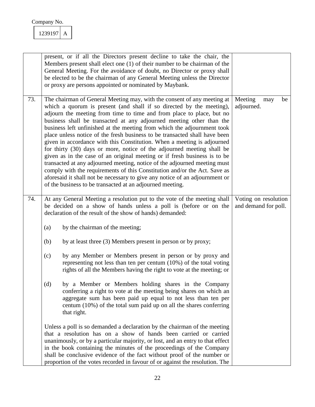|     | present, or if all the Directors present decline to take the chair, the<br>Members present shall elect one (1) of their number to be chairman of the<br>General Meeting. For the avoidance of doubt, no Director or proxy shall<br>be elected to be the chairman of any General Meeting unless the Director<br>or proxy are persons appointed or nominated by Maybank.                                                                                                                                                                                                                                                                                                                                                                                                                                                                                                                                                                                                                            |                                              |
|-----|---------------------------------------------------------------------------------------------------------------------------------------------------------------------------------------------------------------------------------------------------------------------------------------------------------------------------------------------------------------------------------------------------------------------------------------------------------------------------------------------------------------------------------------------------------------------------------------------------------------------------------------------------------------------------------------------------------------------------------------------------------------------------------------------------------------------------------------------------------------------------------------------------------------------------------------------------------------------------------------------------|----------------------------------------------|
| 73. | The chairman of General Meeting may, with the consent of any meeting at<br>which a quorum is present (and shall if so directed by the meeting),<br>adjourn the meeting from time to time and from place to place, but no<br>business shall be transacted at any adjourned meeting other than the<br>business left unfinished at the meeting from which the adjournment took<br>place unless notice of the fresh business to be transacted shall have been<br>given in accordance with this Constitution. When a meeting is adjourned<br>for thirty (30) days or more, notice of the adjourned meeting shall be<br>given as in the case of an original meeting or if fresh business is to be<br>transacted at any adjourned meeting, notice of the adjourned meeting must<br>comply with the requirements of this Constitution and/or the Act. Save as<br>aforesaid it shall not be necessary to give any notice of an adjournment or<br>of the business to be transacted at an adjourned meeting. | Meeting<br>may<br>be<br>adjourned.           |
| 74. | At any General Meeting a resolution put to the vote of the meeting shall<br>be decided on a show of hands unless a poll is (before or on the<br>declaration of the result of the show of hands) demanded:                                                                                                                                                                                                                                                                                                                                                                                                                                                                                                                                                                                                                                                                                                                                                                                         | Voting on resolution<br>and demand for poll. |
|     | by the chairman of the meeting;<br>(a)                                                                                                                                                                                                                                                                                                                                                                                                                                                                                                                                                                                                                                                                                                                                                                                                                                                                                                                                                            |                                              |
|     | by at least three (3) Members present in person or by proxy;<br>(b)                                                                                                                                                                                                                                                                                                                                                                                                                                                                                                                                                                                                                                                                                                                                                                                                                                                                                                                               |                                              |
|     | (c)<br>by any Member or Members present in person or by proxy and<br>representing not less than ten per centum $(10%)$ of the total voting<br>rights of all the Members having the right to vote at the meeting; or                                                                                                                                                                                                                                                                                                                                                                                                                                                                                                                                                                                                                                                                                                                                                                               |                                              |
|     | by a Member or Members holding shares in the Company<br>(d)<br>conferring a right to vote at the meeting being shares on which an<br>aggregate sum has been paid up equal to not less than ten per<br>centum $(10\%)$ of the total sum paid up on all the shares conferring<br>that right.                                                                                                                                                                                                                                                                                                                                                                                                                                                                                                                                                                                                                                                                                                        |                                              |
|     | Unless a poll is so demanded a declaration by the chairman of the meeting<br>that a resolution has on a show of hands been carried or carried<br>unanimously, or by a particular majority, or lost, and an entry to that effect<br>in the book containing the minutes of the proceedings of the Company<br>shall be conclusive evidence of the fact without proof of the number or<br>proportion of the votes recorded in favour of or against the resolution. The                                                                                                                                                                                                                                                                                                                                                                                                                                                                                                                                |                                              |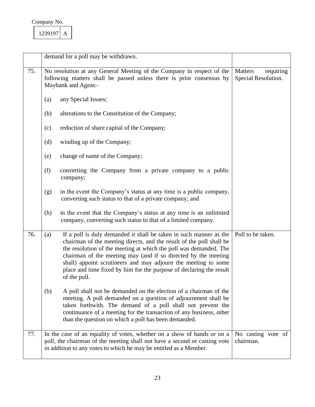|     |     | demand for a poll may be withdrawn.                                                                                                                                                                                                                                                                                                                                                                                                        |                                             |
|-----|-----|--------------------------------------------------------------------------------------------------------------------------------------------------------------------------------------------------------------------------------------------------------------------------------------------------------------------------------------------------------------------------------------------------------------------------------------------|---------------------------------------------|
| 75. |     | No resolution at any General Meeting of the Company in respect of the<br>following matters shall be passed unless there is prior consensus by<br>Maybank and Ageas:-                                                                                                                                                                                                                                                                       | Matters<br>requiring<br>Special Resolution. |
|     | (a) | any Special Issues;                                                                                                                                                                                                                                                                                                                                                                                                                        |                                             |
|     | (b) | alterations to the Constitution of the Company;                                                                                                                                                                                                                                                                                                                                                                                            |                                             |
|     | (c) | reduction of share capital of the Company;                                                                                                                                                                                                                                                                                                                                                                                                 |                                             |
|     | (d) | winding up of the Company;                                                                                                                                                                                                                                                                                                                                                                                                                 |                                             |
|     | (e) | change of name of the Company;                                                                                                                                                                                                                                                                                                                                                                                                             |                                             |
|     | (f) | converting the Company from a private company to a public<br>company;                                                                                                                                                                                                                                                                                                                                                                      |                                             |
|     | (g) | in the event the Company's status at any time is a public company,<br>converting such status to that of a private company; and                                                                                                                                                                                                                                                                                                             |                                             |
|     | (h) | in the event that the Company's status at any time is an unlimited<br>company, converting such status to that of a limited company.                                                                                                                                                                                                                                                                                                        |                                             |
| 76. | (a) | If a poll is duly demanded it shall be taken in such manner as the<br>chairman of the meeting directs, and the result of the poll shall be<br>the resolution of the meeting at which the poll was demanded. The<br>chairman of the meeting may (and if so directed by the meeting<br>shall) appoint scrutineers and may adjourn the meeting to some<br>place and time fixed by him for the purpose of declaring the result<br>of the poll. | Poll to be taken.                           |
|     | (b) | A poll shall not be demanded on the election of a chairman of the<br>meeting. A poll demanded on a question of adjournment shall be<br>taken forthwith. The demand of a poll shall not prevent the<br>continuance of a meeting for the transaction of any business, other<br>than the question on which a poll has been demanded.                                                                                                          |                                             |
| 77. |     | In the case of an equality of votes, whether on a show of hands or on a<br>poll, the chairman of the meeting shall not have a second or casting vote<br>in addition to any votes to which he may be entitled as a Member.                                                                                                                                                                                                                  | No casting vote of<br>chairman.             |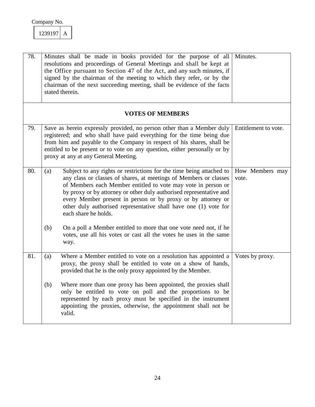| 239197 |  |
|--------|--|
|        |  |

| 78. | Minutes shall be made in books provided for the purpose of all<br>resolutions and proceedings of General Meetings and shall be kept at<br>the Office pursuant to Section 47 of the Act, and any such minutes, if<br>signed by the chairman of the meeting to which they refer, or by the<br>chairman of the next succeeding meeting, shall be evidence of the facts<br>stated therein.                                                               | Minutes.                 |
|-----|------------------------------------------------------------------------------------------------------------------------------------------------------------------------------------------------------------------------------------------------------------------------------------------------------------------------------------------------------------------------------------------------------------------------------------------------------|--------------------------|
|     | <b>VOTES OF MEMBERS</b>                                                                                                                                                                                                                                                                                                                                                                                                                              |                          |
| 79. | Save as herein expressly provided, no person other than a Member duly<br>registered; and who shall have paid everything for the time being due<br>from him and payable to the Company in respect of his shares, shall be<br>entitled to be present or to vote on any question, either personally or by<br>proxy at any at any General Meeting.                                                                                                       | Entitlement to vote.     |
| 80. | Subject to any rights or restrictions for the time being attached to<br>(a)<br>any class or classes of shares, at meetings of Members or classes<br>of Members each Member entitled to vote may vote in person or<br>by proxy or by attorney or other duly authorised representative and<br>every Member present in person or by proxy or by attorney or<br>other duly authorised representative shall have one (1) vote for<br>each share he holds. | How Members may<br>vote. |
|     | (b)<br>On a poll a Member entitled to more that one vote need not, if he<br>votes, use all his votes or cast all the votes he uses in the same<br>way.                                                                                                                                                                                                                                                                                               |                          |
| 81. | Where a Member entitled to vote on a resolution has appointed a<br>(a)<br>proxy, the proxy shall be entitled to vote on a show of hands,<br>provided that he is the only proxy appointed by the Member.                                                                                                                                                                                                                                              | Votes by proxy.          |
|     | Where more than one proxy has been appointed, the proxies shall<br>(b)<br>only be entitled to vote on poll and the proportions to be<br>represented by each proxy must be specified in the instrument<br>appointing the proxies, otherwise, the appointment shall not be<br>valid.                                                                                                                                                                   |                          |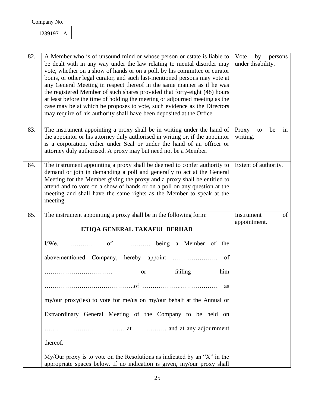| 82. | A Member who is of unsound mind or whose person or estate is liable to<br>be dealt with in any way under the law relating to mental disorder may<br>vote, whether on a show of hands or on a poll, by his committee or curator<br>bonis, or other legal curator, and such last-mentioned persons may vote at<br>any General Meeting in respect thereof in the same manner as if he was<br>the registered Member of such shares provided that forty-eight (48) hours<br>at least before the time of holding the meeting or adjourned meeting as the<br>case may be at which he proposes to vote, such evidence as the Directors<br>may require of his authority shall have been deposited at the Office. | Vote by persons<br>under disability. |
|-----|---------------------------------------------------------------------------------------------------------------------------------------------------------------------------------------------------------------------------------------------------------------------------------------------------------------------------------------------------------------------------------------------------------------------------------------------------------------------------------------------------------------------------------------------------------------------------------------------------------------------------------------------------------------------------------------------------------|--------------------------------------|
| 83. | The instrument appointing a proxy shall be in writing under the hand of<br>the appointor or his attorney duly authorised in writing or, if the appointor<br>is a corporation, either under Seal or under the hand of an officer or<br>attorney duly authorised. A proxy may but need not be a Member.                                                                                                                                                                                                                                                                                                                                                                                                   | Proxy<br>be<br>to<br>in<br>writing.  |
| 84. | The instrument appointing a proxy shall be deemed to confer authority to<br>demand or join in demanding a poll and generally to act at the General<br>Meeting for the Member giving the proxy and a proxy shall be entitled to<br>attend and to vote on a show of hands or on a poll on any question at the<br>meeting and shall have the same rights as the Member to speak at the<br>meeting.                                                                                                                                                                                                                                                                                                         | Extent of authority.                 |
| 85. | The instrument appointing a proxy shall be in the following form:                                                                                                                                                                                                                                                                                                                                                                                                                                                                                                                                                                                                                                       | of<br>Instrument<br>appointment.     |
|     | ETIQA GENERAL TAKAFUL BERHAD                                                                                                                                                                                                                                                                                                                                                                                                                                                                                                                                                                                                                                                                            |                                      |
|     |                                                                                                                                                                                                                                                                                                                                                                                                                                                                                                                                                                                                                                                                                                         |                                      |
|     | of                                                                                                                                                                                                                                                                                                                                                                                                                                                                                                                                                                                                                                                                                                      |                                      |
|     | failing<br>him<br>or<br>.                                                                                                                                                                                                                                                                                                                                                                                                                                                                                                                                                                                                                                                                               |                                      |
|     | as                                                                                                                                                                                                                                                                                                                                                                                                                                                                                                                                                                                                                                                                                                      |                                      |
|     | my/our proxy(ies) to vote for me/us on my/our behalf at the Annual or                                                                                                                                                                                                                                                                                                                                                                                                                                                                                                                                                                                                                                   |                                      |
|     | Extraordinary General Meeting of the Company to be held on                                                                                                                                                                                                                                                                                                                                                                                                                                                                                                                                                                                                                                              |                                      |
|     |                                                                                                                                                                                                                                                                                                                                                                                                                                                                                                                                                                                                                                                                                                         |                                      |
|     | thereof.                                                                                                                                                                                                                                                                                                                                                                                                                                                                                                                                                                                                                                                                                                |                                      |
|     | $My/O$ ur proxy is to vote on the Resolutions as indicated by an "X" in the<br>appropriate spaces below. If no indication is given, my/our proxy shall                                                                                                                                                                                                                                                                                                                                                                                                                                                                                                                                                  |                                      |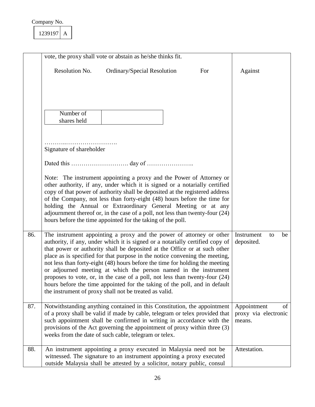|     | vote, the proxy shall vote or abstain as he/she thinks fit.                                                                                                                                                                                                                                                                                                                                                                                                                                                                                                                                                                                                                                    |                                                     |
|-----|------------------------------------------------------------------------------------------------------------------------------------------------------------------------------------------------------------------------------------------------------------------------------------------------------------------------------------------------------------------------------------------------------------------------------------------------------------------------------------------------------------------------------------------------------------------------------------------------------------------------------------------------------------------------------------------------|-----------------------------------------------------|
|     | Resolution No.<br>Ordinary/Special Resolution<br>For                                                                                                                                                                                                                                                                                                                                                                                                                                                                                                                                                                                                                                           | Against                                             |
|     | Number of<br>shares held                                                                                                                                                                                                                                                                                                                                                                                                                                                                                                                                                                                                                                                                       |                                                     |
|     | Signature of shareholder                                                                                                                                                                                                                                                                                                                                                                                                                                                                                                                                                                                                                                                                       |                                                     |
|     |                                                                                                                                                                                                                                                                                                                                                                                                                                                                                                                                                                                                                                                                                                |                                                     |
|     | Note: The instrument appointing a proxy and the Power of Attorney or<br>other authority, if any, under which it is signed or a notarially certified<br>copy of that power of authority shall be deposited at the registered address<br>of the Company, not less than forty-eight (48) hours before the time for<br>holding the Annual or Extraordinary General Meeting or at any<br>adjournment thereof or, in the case of a poll, not less than twenty-four (24)<br>hours before the time appointed for the taking of the poll.                                                                                                                                                               |                                                     |
| 86. | The instrument appointing a proxy and the power of attorney or other<br>authority, if any, under which it is signed or a notarially certified copy of<br>that power or authority shall be deposited at the Office or at such other<br>place as is specified for that purpose in the notice convening the meeting,<br>not less than forty-eight (48) hours before the time for holding the meeting<br>or adjourned meeting at which the person named in the instrument<br>proposes to vote, or, in the case of a poll, not less than twenty-four $(24)$<br>hours before the time appointed for the taking of the poll, and in default<br>the instrument of proxy shall not be treated as valid. | Instrument<br>be<br>to<br>deposited.                |
| 87. | Notwithstanding anything contained in this Constitution, the appointment<br>of a proxy shall be valid if made by cable, telegram or telex provided that<br>such appointment shall be confirmed in writing in accordance with the<br>provisions of the Act governing the appointment of proxy within three (3)<br>weeks from the date of such cable, telegram or telex.                                                                                                                                                                                                                                                                                                                         | Appointment<br>of<br>proxy via electronic<br>means. |
| 88. | An instrument appointing a proxy executed in Malaysia need not be<br>witnessed. The signature to an instrument appointing a proxy executed<br>outside Malaysia shall be attested by a solicitor, notary public, consul                                                                                                                                                                                                                                                                                                                                                                                                                                                                         | Attestation.                                        |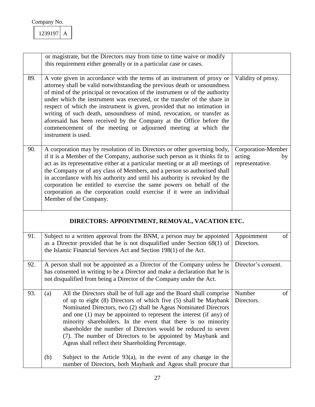|     | or magistrate, but the Directors may from time to time waive or modify<br>this requirement either generally or in a particular case or cases.                                                                                                                                                                                                                                                                                                                                                                                                                                                                                        |                                                       |
|-----|--------------------------------------------------------------------------------------------------------------------------------------------------------------------------------------------------------------------------------------------------------------------------------------------------------------------------------------------------------------------------------------------------------------------------------------------------------------------------------------------------------------------------------------------------------------------------------------------------------------------------------------|-------------------------------------------------------|
| 89. | A vote given in accordance with the terms of an instrument of proxy or<br>attorney shall be valid notwithstanding the previous death or unsoundness<br>of mind of the principal or revocation of the instrument or of the authority<br>under which the instrument was executed, or the transfer of the share in<br>respect of which the instrument is given, provided that no intimation in<br>writing of such death, unsoundness of mind, revocation, or transfer as<br>aforesaid has been received by the Company at the Office before the<br>commencement of the meeting or adjourned meeting at which the<br>instrument is used. | Validity of proxy.                                    |
| 90. | A corporation may by resolution of its Directors or other governing body,<br>if it is a Member of the Company, authorise such person as it thinks fit to<br>act as its representative either at a particular meeting or at all meetings of<br>the Company or of any class of Members, and a person so authorised shall<br>in accordance with his authority and until his authority is revoked by the<br>corporation be entitled to exercise the same powers on behalf of the<br>corporation as the corporation could exercise if it were an individual<br>Member of the Company.                                                     | Corporation-Member<br>acting<br>by<br>representative. |
|     | DIRECTORS: APPOINTMENT, REMOVAL, VACATION ETC.                                                                                                                                                                                                                                                                                                                                                                                                                                                                                                                                                                                       |                                                       |
| 91. | Subject to a written approval from the BNM, a person may be appointed<br>as a Director provided that he is not disqualified under Section $68(1)$ of<br>the Islamic Financial Services Act and Section 198(1) of the Act.                                                                                                                                                                                                                                                                                                                                                                                                            | Appointment<br>of<br>Directors.                       |
| 92. | A person shall not be appointed as a Director of the Company unless he<br>has consented in writing to be a Director and make a declaration that he is<br>not disqualified from being a Director of the Company under the Act.                                                                                                                                                                                                                                                                                                                                                                                                        | Director's consent.                                   |
| 93. | All the Directors shall be of full age and the Board shall comprise<br>(a)<br>of up to eight (8) Directors of which five (5) shall be Maybank<br>Nominated Directors, two (2) shall be Ageas Nominated Directors<br>and one $(1)$ may be appointed to represent the interest $($ if any $)$ of<br>minority shareholders. In the event that there is no minority<br>shareholder the number of Directors would be reduced to seven<br>(7). The number of Directors to be appointed by Maybank and<br>Ageas shall reflect their Shareholding Percentage.                                                                                | Number<br>of<br>Directors.                            |
|     | Subject to the Article $93(a)$ , in the event of any change in the<br>(b)<br>number of Directors, both Maybank and Ageas shall procure that                                                                                                                                                                                                                                                                                                                                                                                                                                                                                          |                                                       |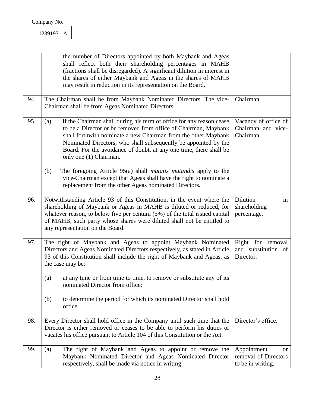|     | the number of Directors appointed by both Maybank and Ageas<br>shall reflect both their shareholding percentages in MAHB<br>(fractions shall be disregarded). A significant dilution in interest in<br>the shares of either Maybank and Ageas in the shares of MAHB<br>may result in reduction in its representation on the Board.                                                  |                                                                           |
|-----|-------------------------------------------------------------------------------------------------------------------------------------------------------------------------------------------------------------------------------------------------------------------------------------------------------------------------------------------------------------------------------------|---------------------------------------------------------------------------|
| 94. | The Chairman shall be from Maybank Nominated Directors. The vice-<br>Chairman shall be from Ageas Nominated Directors.                                                                                                                                                                                                                                                              | Chairman.                                                                 |
| 95. | If the Chairman shall during his term of office for any reason cease<br>(a)<br>to be a Director or be removed from office of Chairman, Maybank<br>shall forthwith nominate a new Chairman from the other Maybank<br>Nominated Directors, who shall subsequently be appointed by the<br>Board. For the avoidance of doubt, at any one time, there shall be<br>only one (1) Chairman. | Vacancy of office of<br>Chairman and vice-<br>Chairman.                   |
|     | The foregoing Article 95(a) shall <i>mutatis mutandis</i> apply to the<br>(b)<br>vice-Chairman except that Ageas shall have the right to nominate a<br>replacement from the other Ageas nominated Directors.                                                                                                                                                                        |                                                                           |
| 96. | Notwithstanding Article 93 of this Constitution, in the event where the<br>shareholding of Maybank or Ageas in MAHB is diluted or reduced, for<br>whatever reason, to below five per centum (5%) of the total issued capital<br>of MAHB, such party whose shares were diluted shall not be entitled to<br>any representation on the Board.                                          | Dilution<br>in<br>shareholding<br>percentage.                             |
| 97. | The right of Maybank and Ageas to appoint Maybank Nominated<br>Directors and Ageas Nominated Directors respectively, as stated in Article<br>93 of this Constitution shall include the right of Maybank and Ageas, as<br>the case may be:                                                                                                                                           | Right for removal<br>and substitution of<br>Director.                     |
|     | at any time or from time to time, to remove or substitute any of its<br>(a)<br>nominated Director from office;                                                                                                                                                                                                                                                                      |                                                                           |
|     | to determine the period for which its nominated Director shall hold<br>(b)<br>office.                                                                                                                                                                                                                                                                                               |                                                                           |
| 98. | Every Director shall hold office in the Company until such time that the<br>Director is either removed or ceases to be able to perform his duties or<br>vacates his office pursuant to Article 104 of this Constitution or the Act.                                                                                                                                                 | Director's office.                                                        |
| 99. | The right of Maybank and Ageas to appoint or remove the<br>(a)<br>Maybank Nominated Director and Ageas Nominated Director<br>respectively, shall be made via notice in writing.                                                                                                                                                                                                     | Appointment<br><sub>or</sub><br>removal of Directors<br>to be in writing. |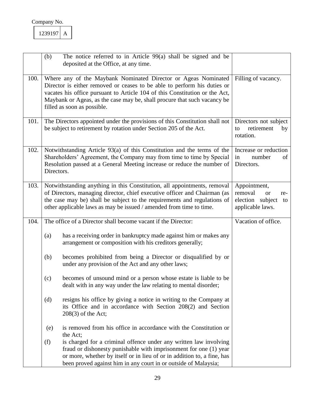|      | (b)        | The notice referred to in Article $99(a)$ shall be signed and be<br>deposited at the Office, at any time.                                                                                                                                                                                                                            |                                                                                           |
|------|------------|--------------------------------------------------------------------------------------------------------------------------------------------------------------------------------------------------------------------------------------------------------------------------------------------------------------------------------------|-------------------------------------------------------------------------------------------|
| 100. |            | Where any of the Maybank Nominated Director or Ageas Nominated<br>Director is either removed or ceases to be able to perform his duties or<br>vacates his office pursuant to Article 104 of this Constitution or the Act,<br>Maybank or Ageas, as the case may be, shall procure that such vacancy be<br>filled as soon as possible. | Filling of vacancy.                                                                       |
| 101. |            | The Directors appointed under the provisions of this Constitution shall not<br>be subject to retirement by rotation under Section 205 of the Act.                                                                                                                                                                                    | Directors not subject<br>retirement<br>to<br>by<br>rotation.                              |
| 102. | Directors. | Notwithstanding Article 93(a) of this Constitution and the terms of the<br>Shareholders' Agreement, the Company may from time to time by Special<br>Resolution passed at a General Meeting increase or reduce the number of                                                                                                          | Increase or reduction<br>number<br>of<br>in<br>Directors.                                 |
| 103. |            | Notwithstanding anything in this Constitution, all appointments, removal<br>of Directors, managing director, chief executive officer and Chairman (as<br>the case may be) shall be subject to the requirements and regulations of<br>other applicable laws as may be issued / amended from time to time.                             | Appointment,<br>removal<br><b>or</b><br>re-<br>election subject<br>to<br>applicable laws. |
| 104. |            | The office of a Director shall become vacant if the Director:                                                                                                                                                                                                                                                                        | Vacation of office.                                                                       |
|      | (a)        | has a receiving order in bankruptcy made against him or makes any<br>arrangement or composition with his creditors generally;                                                                                                                                                                                                        |                                                                                           |
|      | (b)        | becomes prohibited from being a Director or disqualified by or<br>under any provision of the Act and any other laws;                                                                                                                                                                                                                 |                                                                                           |
|      | (c)        | becomes of unsound mind or a person whose estate is liable to be<br>dealt with in any way under the law relating to mental disorder;                                                                                                                                                                                                 |                                                                                           |
|      | (d)        | resigns his office by giving a notice in writing to the Company at<br>its Office and in accordance with Section 208(2) and Section<br>$208(3)$ of the Act;                                                                                                                                                                           |                                                                                           |
|      | (e)        | is removed from his office in accordance with the Constitution or<br>the Act;                                                                                                                                                                                                                                                        |                                                                                           |
|      | (f)        | is charged for a criminal offence under any written law involving<br>fraud or dishonesty punishable with imprisonment for one (1) year<br>or more, whether by itself or in lieu of or in addition to, a fine, has<br>been proved against him in any court in or outside of Malaysia;                                                 |                                                                                           |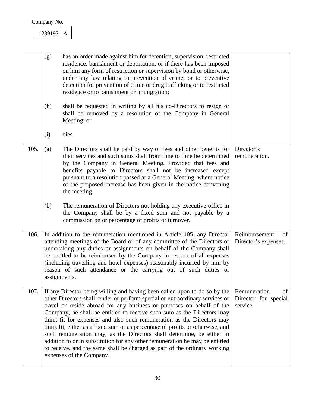|      | (g)                                                                                                                                                                                                                                                                                                                                                                                                                                                                                                        | has an order made against him for detention, supervision, restricted<br>residence, banishment or deportation, or if there has been imposed<br>on him any form of restriction or supervision by bond or otherwise,<br>under any law relating to prevention of crime, or to preventive<br>detention for prevention of crime or drug trafficking or to restricted<br>residence or to banishment or immigration;                                                                                                                                                                                                                                                                                                                               |                                                        |
|------|------------------------------------------------------------------------------------------------------------------------------------------------------------------------------------------------------------------------------------------------------------------------------------------------------------------------------------------------------------------------------------------------------------------------------------------------------------------------------------------------------------|--------------------------------------------------------------------------------------------------------------------------------------------------------------------------------------------------------------------------------------------------------------------------------------------------------------------------------------------------------------------------------------------------------------------------------------------------------------------------------------------------------------------------------------------------------------------------------------------------------------------------------------------------------------------------------------------------------------------------------------------|--------------------------------------------------------|
|      | (h)                                                                                                                                                                                                                                                                                                                                                                                                                                                                                                        | shall be requested in writing by all his co-Directors to resign or<br>shall be removed by a resolution of the Company in General<br>Meeting; or                                                                                                                                                                                                                                                                                                                                                                                                                                                                                                                                                                                            |                                                        |
|      | (i)                                                                                                                                                                                                                                                                                                                                                                                                                                                                                                        | dies.                                                                                                                                                                                                                                                                                                                                                                                                                                                                                                                                                                                                                                                                                                                                      |                                                        |
| 105. | (a)                                                                                                                                                                                                                                                                                                                                                                                                                                                                                                        | The Directors shall be paid by way of fees and other benefits for<br>their services and such sums shall from time to time be determined<br>by the Company in General Meeting. Provided that fees and<br>benefits payable to Directors shall not be increased except<br>pursuant to a resolution passed at a General Meeting, where notice<br>of the proposed increase has been given in the notice convening<br>the meeting.                                                                                                                                                                                                                                                                                                               | Director's<br>remuneration.                            |
|      | (b)                                                                                                                                                                                                                                                                                                                                                                                                                                                                                                        | The remuneration of Directors not holding any executive office in<br>the Company shall be by a fixed sum and not payable by a<br>commission on or percentage of profits or turnover.                                                                                                                                                                                                                                                                                                                                                                                                                                                                                                                                                       |                                                        |
| 106. | In addition to the remuneration mentioned in Article 105, any Director<br>Reimbursement<br>attending meetings of the Board or of any committee of the Directors or<br>Director's expenses.<br>undertaking any duties or assignments on behalf of the Company shall<br>be entitled to be reimbursed by the Company in respect of all expenses<br>(including travelling and hotel expenses) reasonably incurred by him by<br>reason of such attendance or the carrying out of such duties or<br>assignments. |                                                                                                                                                                                                                                                                                                                                                                                                                                                                                                                                                                                                                                                                                                                                            |                                                        |
| 107. |                                                                                                                                                                                                                                                                                                                                                                                                                                                                                                            | If any Director being willing and having been called upon to do so by the<br>other Directors shall render or perform special or extraordinary services or<br>travel or reside abroad for any business or purposes on behalf of the<br>Company, he shall be entitled to receive such sum as the Directors may<br>think fit for expenses and also such remuneration as the Directors may<br>think fit, either as a fixed sum or as percentage of profits or otherwise, and<br>such remuneration may, as the Directors shall determine, be either in<br>addition to or in substitution for any other remuneration he may be entitled<br>to receive, and the same shall be charged as part of the ordinary working<br>expenses of the Company. | Remuneration<br>of<br>Director for special<br>service. |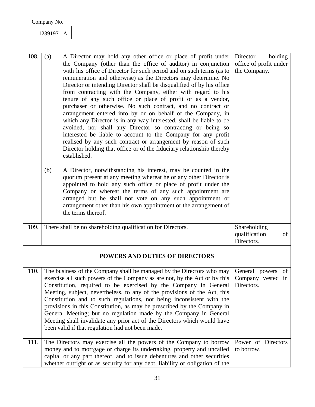| 239197 |  |
|--------|--|
|        |  |

| 108. | A Director may hold any other office or place of profit under<br>(a)<br>the Company (other than the office of auditor) in conjunction<br>with his office of Director for such period and on such terms (as to<br>remuneration and otherwise) as the Directors may determine. No<br>Director or intending Director shall be disqualified of by his office<br>from contracting with the Company, either with regard to his<br>tenure of any such office or place of profit or as a vendor,<br>purchaser or otherwise. No such contract, and no contract or<br>arrangement entered into by or on behalf of the Company, in<br>which any Director is in any way interested, shall be liable to be<br>avoided, nor shall any Director so contracting or being so<br>interested be liable to account to the Company for any profit<br>realised by any such contract or arrangement by reason of such<br>Director holding that office or of the fiduciary relationship thereby<br>established.<br>(b)<br>A Director, notwithstanding his interest, may be counted in the | holding<br>Director<br>office of profit under<br>the Company. |
|------|-------------------------------------------------------------------------------------------------------------------------------------------------------------------------------------------------------------------------------------------------------------------------------------------------------------------------------------------------------------------------------------------------------------------------------------------------------------------------------------------------------------------------------------------------------------------------------------------------------------------------------------------------------------------------------------------------------------------------------------------------------------------------------------------------------------------------------------------------------------------------------------------------------------------------------------------------------------------------------------------------------------------------------------------------------------------|---------------------------------------------------------------|
|      | quorum present at any meeting whereat he or any other Director is<br>appointed to hold any such office or place of profit under the<br>Company or whereat the terms of any such appointment are<br>arranged but he shall not vote on any such appointment or<br>arrangement other than his own appointment or the arrangement of<br>the terms thereof.                                                                                                                                                                                                                                                                                                                                                                                                                                                                                                                                                                                                                                                                                                            |                                                               |
| 109. | There shall be no shareholding qualification for Directors.                                                                                                                                                                                                                                                                                                                                                                                                                                                                                                                                                                                                                                                                                                                                                                                                                                                                                                                                                                                                       | Shareholding<br>qualification<br>of<br>Directors.             |
|      | <b>POWERS AND DUTIES OF DIRECTORS</b>                                                                                                                                                                                                                                                                                                                                                                                                                                                                                                                                                                                                                                                                                                                                                                                                                                                                                                                                                                                                                             |                                                               |
| 110. | The business of the Company shall be managed by the Directors who may<br>exercise all such powers of the Company as are not, by the Act or by this<br>Constitution, required to be exercised by the Company in General<br>Meeting, subject, nevertheless, to any of the provisions of the Act, this<br>Constitution and to such regulations, not being inconsistent with the<br>provisions in this Constitution, as may be prescribed by the Company in<br>General Meeting; but no regulation made by the Company in General<br>Meeting shall invalidate any prior act of the Directors which would have<br>been valid if that regulation had not been made.                                                                                                                                                                                                                                                                                                                                                                                                      | General powers of<br>Company vested in<br>Directors.          |
| 111. | The Directors may exercise all the powers of the Company to borrow<br>money and to mortgage or charge its undertaking, property and uncalled<br>capital or any part thereof, and to issue debentures and other securities<br>whether outright or as security for any debt, liability or obligation of the                                                                                                                                                                                                                                                                                                                                                                                                                                                                                                                                                                                                                                                                                                                                                         | Power of Directors<br>to borrow.                              |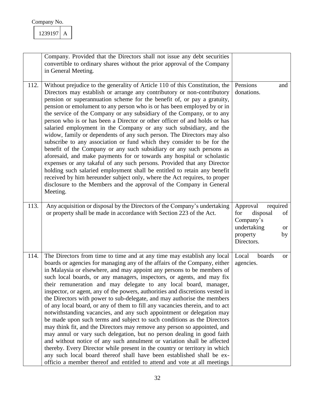| Company No. |  |
|-------------|--|
|             |  |

| 239197 |  |
|--------|--|
|        |  |

|      | Company. Provided that the Directors shall not issue any debt securities<br>convertible to ordinary shares without the prior approval of the Company<br>in General Meeting.                                                                                                                                                                                                                                                                                                                                                                                                                                                                                                                                                                                                                                                                                                                                                                                                                                                                                                                                                                                                                                                                      |                                                                                                                        |
|------|--------------------------------------------------------------------------------------------------------------------------------------------------------------------------------------------------------------------------------------------------------------------------------------------------------------------------------------------------------------------------------------------------------------------------------------------------------------------------------------------------------------------------------------------------------------------------------------------------------------------------------------------------------------------------------------------------------------------------------------------------------------------------------------------------------------------------------------------------------------------------------------------------------------------------------------------------------------------------------------------------------------------------------------------------------------------------------------------------------------------------------------------------------------------------------------------------------------------------------------------------|------------------------------------------------------------------------------------------------------------------------|
| 112. | Without prejudice to the generality of Article 110 of this Constitution, the<br>Directors may establish or arrange any contributory or non-contributory<br>pension or superannuation scheme for the benefit of, or pay a gratuity,<br>pension or emolument to any person who is or has been employed by or in<br>the service of the Company or any subsidiary of the Company, or to any<br>person who is or has been a Director or other officer of and holds or has<br>salaried employment in the Company or any such subsidiary, and the<br>widow, family or dependents of any such person. The Directors may also<br>subscribe to any association or fund which they consider to be for the<br>benefit of the Company or any such subsidiary or any such persons as<br>aforesaid, and make payments for or towards any hospital or scholastic<br>expenses or any takaful of any such persons. Provided that any Director<br>holding such salaried employment shall be entitled to retain any benefit<br>received by him hereunder subject only, where the Act requires, to proper<br>disclosure to the Members and the approval of the Company in General<br>Meeting.                                                                         | Pensions<br>and<br>donations.                                                                                          |
| 113. | Any acquisition or disposal by the Directors of the Company's undertaking<br>or property shall be made in accordance with Section 223 of the Act.                                                                                                                                                                                                                                                                                                                                                                                                                                                                                                                                                                                                                                                                                                                                                                                                                                                                                                                                                                                                                                                                                                | Approval<br>required<br>for<br>disposal<br>of<br>Company's<br>undertaking<br><b>or</b><br>property<br>by<br>Directors. |
| 114. | The Directors from time to time and at any time may establish any local<br>boards or agencies for managing any of the affairs of the Company, either<br>in Malaysia or elsewhere, and may appoint any persons to be members of<br>such local boards, or any managers, inspectors, or agents, and may fix<br>their remuneration and may delegate to any local board, manager,<br>inspector, or agent, any of the powers, authorities and discretions vested in<br>the Directors with power to sub-delegate, and may authorise the members<br>of any local board, or any of them to fill any vacancies therein, and to act<br>notwithstanding vacancies, and any such appointment or delegation may<br>be made upon such terms and subject to such conditions as the Directors<br>may think fit, and the Directors may remove any person so appointed, and<br>may annul or vary such delegation, but no person dealing in good faith<br>and without notice of any such annulment or variation shall be affected<br>thereby. Every Director while present in the country or territory in which<br>any such local board thereof shall have been established shall be ex-<br>officio a member thereof and entitled to attend and vote at all meetings | Local<br>boards<br><b>or</b><br>agencies.                                                                              |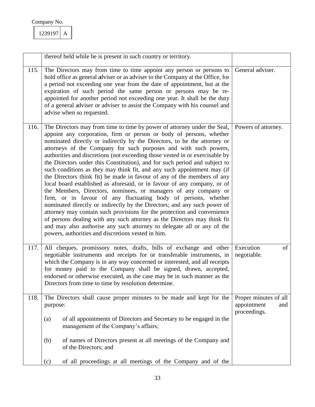|      | thereof held while he is present in such country or territory.                                                                                                                                                                                                                                                                                                                                                                                                                                                                                                                                                                                                                                                                                                                                                                                                                                                                                                                                                                                                                                                                                                                                          |                                                             |
|------|---------------------------------------------------------------------------------------------------------------------------------------------------------------------------------------------------------------------------------------------------------------------------------------------------------------------------------------------------------------------------------------------------------------------------------------------------------------------------------------------------------------------------------------------------------------------------------------------------------------------------------------------------------------------------------------------------------------------------------------------------------------------------------------------------------------------------------------------------------------------------------------------------------------------------------------------------------------------------------------------------------------------------------------------------------------------------------------------------------------------------------------------------------------------------------------------------------|-------------------------------------------------------------|
| 115. | The Directors may from time to time appoint any person or persons to<br>hold office as general adviser or as adviser to the Company at the Office, for<br>a period not exceeding one year from the date of appointment, but at the<br>expiration of such period the same person or persons may be re-<br>appointed for another period not exceeding one year. It shall be the duty<br>of a general adviser or adviser to assist the Company with his counsel and<br>advise when so requested.                                                                                                                                                                                                                                                                                                                                                                                                                                                                                                                                                                                                                                                                                                           | General adviser.                                            |
| 116. | The Directors may from time to time by power of attorney under the Seal,<br>appoint any corporation, firm or person or body of persons, whether<br>nominated directly or indirectly by the Directors, to be the attorney or<br>attorneys of the Company for such purposes and with such powers,<br>authorities and discretions (not exceeding those vested in or exercisable by<br>the Directors under this Constitution), and for such period and subject to<br>such conditions as they may think fit, and any such appointment may (if<br>the Directors think fit) be made in favour of any of the members of any<br>local board established as aforesaid, or in favour of any company, or of<br>the Members, Directors, nominees, or managers of any company or<br>firm, or in favour of any fluctuating body of persons, whether<br>nominated directly or indirectly by the Directors; and any such power of<br>attorney may contain such provisions for the protection and convenience<br>of persons dealing with any such attorney as the Directors may think fit<br>and may also authorise any such attorney to delegate all or any of the<br>powers, authorities and discretions vested in him. | Powers of attorney.                                         |
| 117. | All cheques, promissory notes, drafts, bills of exchange and other<br>negotiable instruments and receipts for or transferable instruments, in<br>which the Company is in any way concerned or interested, and all receipts<br>for money paid to the Company shall be signed, drawn, accepted,<br>endorsed or otherwise executed, as the case may be in such manner as the<br>Directors from time to time by resolution determine.                                                                                                                                                                                                                                                                                                                                                                                                                                                                                                                                                                                                                                                                                                                                                                       | Execution<br>of<br>negotiable.                              |
| 118. | The Directors shall cause proper minutes to be made and kept for the<br>purpose:<br>of all appointments of Directors and Secretary to be engaged in the<br>(a)<br>management of the Company's affairs;<br>of names of Directors present at all meetings of the Company and<br>(b)                                                                                                                                                                                                                                                                                                                                                                                                                                                                                                                                                                                                                                                                                                                                                                                                                                                                                                                       | Proper minutes of all<br>appointment<br>and<br>proceedings. |
|      | of the Directors; and<br>of all proceedings at all meetings of the Company and of the<br>(c)                                                                                                                                                                                                                                                                                                                                                                                                                                                                                                                                                                                                                                                                                                                                                                                                                                                                                                                                                                                                                                                                                                            |                                                             |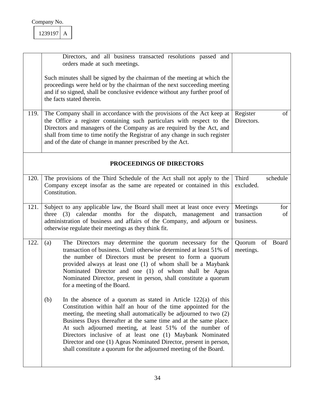|      | Directors, and all business transacted resolutions passed and<br>orders made at such meetings.                                                                                                                                                                                                                                                                                                                                                                                                                                                       |                                                   |
|------|------------------------------------------------------------------------------------------------------------------------------------------------------------------------------------------------------------------------------------------------------------------------------------------------------------------------------------------------------------------------------------------------------------------------------------------------------------------------------------------------------------------------------------------------------|---------------------------------------------------|
|      | Such minutes shall be signed by the chairman of the meeting at which the<br>proceedings were held or by the chairman of the next succeeding meeting<br>and if so signed, shall be conclusive evidence without any further proof of<br>the facts stated therein.                                                                                                                                                                                                                                                                                      |                                                   |
| 119. | The Company shall in accordance with the provisions of the Act keep at<br>the Office a register containing such particulars with respect to the<br>Directors and managers of the Company as are required by the Act, and<br>shall from time to time notify the Registrar of any change in such register<br>and of the date of change in manner prescribed by the Act.                                                                                                                                                                                | Register<br>of<br>Directors.                      |
|      | PROCEEDINGS OF DIRECTORS                                                                                                                                                                                                                                                                                                                                                                                                                                                                                                                             |                                                   |
| 120. | The provisions of the Third Schedule of the Act shall not apply to the<br>Company except insofar as the same are repeated or contained in this<br>Constitution.                                                                                                                                                                                                                                                                                                                                                                                      | Third<br>schedule<br>excluded.                    |
| 121. | Subject to any applicable law, the Board shall meet at least once every<br>three (3) calendar months for the dispatch, management and<br>administration of business and affairs of the Company, and adjourn or<br>otherwise regulate their meetings as they think fit.                                                                                                                                                                                                                                                                               | Meetings<br>for<br>transaction<br>of<br>business. |
| 122. | The Directors may determine the quorum necessary for the<br>(a)<br>transaction of business. Until otherwise determined at least 51% of<br>the number of Directors must be present to form a quorum<br>provided always at least one (1) of whom shall be a Maybank<br>Nominated Director and one (1) of whom shall be Ageas<br>Nominated Director, present in person, shall constitute a quorum<br>for a meeting of the Board.                                                                                                                        | Quorum of Board<br>meetings.                      |
|      | In the absence of a quorum as stated in Article $122(a)$ of this<br>(b)<br>Constitution within half an hour of the time appointed for the<br>meeting, the meeting shall automatically be adjourned to two (2)<br>Business Days thereafter at the same time and at the same place.<br>At such adjourned meeting, at least 51% of the number of<br>Directors inclusive of at least one (1) Maybank Nominated<br>Director and one (1) Ageas Nominated Director, present in person,<br>shall constitute a quorum for the adjourned meeting of the Board. |                                                   |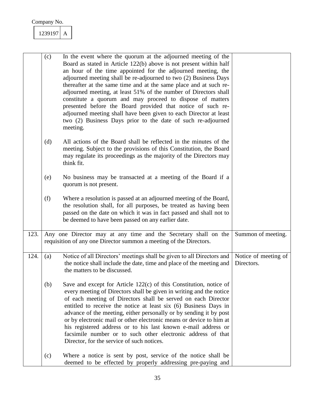|      | (c) | In the event where the quorum at the adjourned meeting of the<br>Board as stated in Article 122(b) above is not present within half<br>an hour of the time appointed for the adjourned meeting, the<br>adjourned meeting shall be re-adjourned to two (2) Business Days<br>thereafter at the same time and at the same place and at such re-<br>adjourned meeting, at least 51% of the number of Directors shall<br>constitute a quorum and may proceed to dispose of matters<br>presented before the Board provided that notice of such re-<br>adjourned meeting shall have been given to each Director at least<br>two (2) Business Days prior to the date of such re-adjourned<br>meeting. |                                    |
|------|-----|-----------------------------------------------------------------------------------------------------------------------------------------------------------------------------------------------------------------------------------------------------------------------------------------------------------------------------------------------------------------------------------------------------------------------------------------------------------------------------------------------------------------------------------------------------------------------------------------------------------------------------------------------------------------------------------------------|------------------------------------|
|      | (d) | All actions of the Board shall be reflected in the minutes of the<br>meeting. Subject to the provisions of this Constitution, the Board<br>may regulate its proceedings as the majority of the Directors may<br>think fit.                                                                                                                                                                                                                                                                                                                                                                                                                                                                    |                                    |
|      | (e) | No business may be transacted at a meeting of the Board if a<br>quorum is not present.                                                                                                                                                                                                                                                                                                                                                                                                                                                                                                                                                                                                        |                                    |
|      | (f) | Where a resolution is passed at an adjourned meeting of the Board,<br>the resolution shall, for all purposes, be treated as having been<br>passed on the date on which it was in fact passed and shall not to<br>be deemed to have been passed on any earlier date.                                                                                                                                                                                                                                                                                                                                                                                                                           |                                    |
| 123. |     | Any one Director may at any time and the Secretary shall on the<br>requisition of any one Director summon a meeting of the Directors.                                                                                                                                                                                                                                                                                                                                                                                                                                                                                                                                                         | Summon of meeting.                 |
| 124. | (a) | Notice of all Directors' meetings shall be given to all Directors and<br>the notice shall include the date, time and place of the meeting and<br>the matters to be discussed.                                                                                                                                                                                                                                                                                                                                                                                                                                                                                                                 | Notice of meeting of<br>Directors. |
|      | (b) | Save and except for Article 122(c) of this Constitution, notice of<br>every meeting of Directors shall be given in writing and the notice<br>of each meeting of Directors shall be served on each Director<br>entitled to receive the notice at least six (6) Business Days in<br>advance of the meeting, either personally or by sending it by post<br>or by electronic mail or other electronic means or device to him at<br>his registered address or to his last known e-mail address or<br>facsimile number or to such other electronic address of that<br>Director, for the service of such notices.                                                                                    |                                    |
|      | (c) | Where a notice is sent by post, service of the notice shall be<br>deemed to be effected by properly addressing pre-paying and                                                                                                                                                                                                                                                                                                                                                                                                                                                                                                                                                                 |                                    |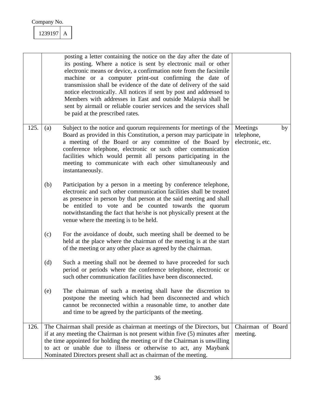|      |     | posting a letter containing the notice on the day after the date of<br>its posting. Where a notice is sent by electronic mail or other<br>electronic means or device, a confirmation note from the facsimile<br>machine or a computer print-out confirming the date of<br>transmission shall be evidence of the date of delivery of the said<br>notice electronically. All notices if sent by post and addressed to<br>Members with addresses in East and outside Malaysia shall be<br>sent by airmail or reliable courier services and the services shall<br>be paid at the prescribed rates. |                                            |    |
|------|-----|------------------------------------------------------------------------------------------------------------------------------------------------------------------------------------------------------------------------------------------------------------------------------------------------------------------------------------------------------------------------------------------------------------------------------------------------------------------------------------------------------------------------------------------------------------------------------------------------|--------------------------------------------|----|
| 125. | (a) | Subject to the notice and quorum requirements for meetings of the<br>Board as provided in this Constitution, a person may participate in<br>a meeting of the Board or any committee of the Board by<br>conference telephone, electronic or such other communication<br>facilities which would permit all persons participating in the<br>meeting to communicate with each other simultaneously and<br>instantaneously.                                                                                                                                                                         | Meetings<br>telephone,<br>electronic, etc. | by |
|      | (b) | Participation by a person in a meeting by conference telephone,<br>electronic and such other communication facilities shall be treated<br>as presence in person by that person at the said meeting and shall<br>be entitled to vote and be counted towards the quorum<br>notwithstanding the fact that he/she is not physically present at the<br>venue where the meeting is to be held.                                                                                                                                                                                                       |                                            |    |
|      | (c) | For the avoidance of doubt, such meeting shall be deemed to be<br>held at the place where the chairman of the meeting is at the start<br>of the meeting or any other place as agreed by the chairman.                                                                                                                                                                                                                                                                                                                                                                                          |                                            |    |
|      | (d) | Such a meeting shall not be deemed to have proceeded for such<br>period or periods where the conference telephone, electronic or<br>such other communication facilities have been disconnected.                                                                                                                                                                                                                                                                                                                                                                                                |                                            |    |
|      | (e) | The chairman of such a meeting shall have the discretion to<br>postpone the meeting which had been disconnected and which<br>cannot be reconnected within a reasonable time, to another date<br>and time to be agreed by the participants of the meeting.                                                                                                                                                                                                                                                                                                                                      |                                            |    |
| 126. |     | The Chairman shall preside as chairman at meetings of the Directors, but<br>if at any meeting the Chairman is not present within five (5) minutes after<br>the time appointed for holding the meeting or if the Chairman is unwilling<br>to act or unable due to illness or otherwise to act, any Maybank<br>Nominated Directors present shall act as chairman of the meeting.                                                                                                                                                                                                                 | Chairman of Board<br>meeting.              |    |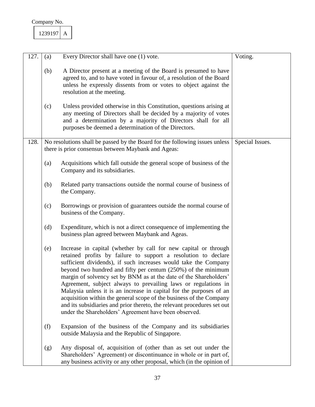| 2391971 |  |
|---------|--|
|         |  |

| 127. | (a) | Every Director shall have one (1) vote.                                                                                                                                                                                                                                                                                                                                                                                                                                                                                                                                                                                                                                                        | Voting.         |
|------|-----|------------------------------------------------------------------------------------------------------------------------------------------------------------------------------------------------------------------------------------------------------------------------------------------------------------------------------------------------------------------------------------------------------------------------------------------------------------------------------------------------------------------------------------------------------------------------------------------------------------------------------------------------------------------------------------------------|-----------------|
|      | (b) | A Director present at a meeting of the Board is presumed to have<br>agreed to, and to have voted in favour of, a resolution of the Board<br>unless he expressly dissents from or votes to object against the<br>resolution at the meeting.                                                                                                                                                                                                                                                                                                                                                                                                                                                     |                 |
|      | (c) | Unless provided otherwise in this Constitution, questions arising at<br>any meeting of Directors shall be decided by a majority of votes<br>and a determination by a majority of Directors shall for all<br>purposes be deemed a determination of the Directors.                                                                                                                                                                                                                                                                                                                                                                                                                               |                 |
| 128. |     | No resolutions shall be passed by the Board for the following issues unless<br>there is prior consensus between Maybank and Ageas:                                                                                                                                                                                                                                                                                                                                                                                                                                                                                                                                                             | Special Issues. |
|      | (a) | Acquisitions which fall outside the general scope of business of the<br>Company and its subsidiaries.                                                                                                                                                                                                                                                                                                                                                                                                                                                                                                                                                                                          |                 |
|      | (b) | Related party transactions outside the normal course of business of<br>the Company.                                                                                                                                                                                                                                                                                                                                                                                                                                                                                                                                                                                                            |                 |
|      | (c) | Borrowings or provision of guarantees outside the normal course of<br>business of the Company.                                                                                                                                                                                                                                                                                                                                                                                                                                                                                                                                                                                                 |                 |
|      | (d) | Expenditure, which is not a direct consequence of implementing the<br>business plan agreed between Maybank and Ageas.                                                                                                                                                                                                                                                                                                                                                                                                                                                                                                                                                                          |                 |
|      | (e) | Increase in capital (whether by call for new capital or through<br>retained profits by failure to support a resolution to declare<br>sufficient dividends), if such increases would take the Company<br>beyond two hundred and fifty per centum (250%) of the minimum<br>margin of solvency set by BNM as at the date of the Shareholders'<br>Agreement, subject always to prevailing laws or regulations in<br>Malaysia unless it is an increase in capital for the purposes of an<br>acquisition within the general scope of the business of the Company<br>and its subsidiaries and prior thereto, the relevant procedures set out<br>under the Shareholders' Agreement have been observed. |                 |
|      | (f) | Expansion of the business of the Company and its subsidiaries<br>outside Malaysia and the Republic of Singapore.                                                                                                                                                                                                                                                                                                                                                                                                                                                                                                                                                                               |                 |
|      | (g) | Any disposal of, acquisition of (other than as set out under the<br>Shareholders' Agreement) or discontinuance in whole or in part of,<br>any business activity or any other proposal, which (in the opinion of                                                                                                                                                                                                                                                                                                                                                                                                                                                                                |                 |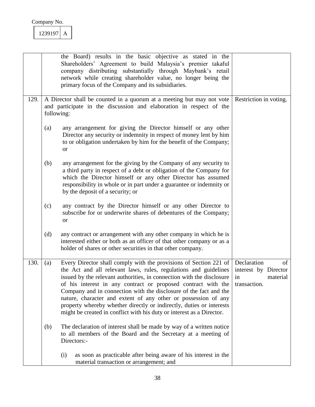|      |            | the Board) results in the basic objective as stated in the<br>Shareholders' Agreement to build Malaysia's premier takaful<br>company distributing substantially through Maybank's retail<br>network while creating shareholder value, no longer being the<br>primary focus of the Company and its subsidiaries.                                                                                                                                                                                                                                                         |                                                                             |
|------|------------|-------------------------------------------------------------------------------------------------------------------------------------------------------------------------------------------------------------------------------------------------------------------------------------------------------------------------------------------------------------------------------------------------------------------------------------------------------------------------------------------------------------------------------------------------------------------------|-----------------------------------------------------------------------------|
| 129. | following: | A Director shall be counted in a quorum at a meeting but may not vote<br>and participate in the discussion and elaboration in respect of the                                                                                                                                                                                                                                                                                                                                                                                                                            | Restriction in voting.                                                      |
|      | (a)        | any arrangement for giving the Director himself or any other<br>Director any security or indemnity in respect of money lent by him<br>to or obligation undertaken by him for the benefit of the Company;<br><b>or</b>                                                                                                                                                                                                                                                                                                                                                   |                                                                             |
|      | (b)        | any arrangement for the giving by the Company of any security to<br>a third party in respect of a debt or obligation of the Company for<br>which the Director himself or any other Director has assumed<br>responsibility in whole or in part under a guarantee or indemnity or<br>by the deposit of a security; or                                                                                                                                                                                                                                                     |                                                                             |
|      | (c)        | any contract by the Director himself or any other Director to<br>subscribe for or underwrite shares of debentures of the Company;<br><b>or</b>                                                                                                                                                                                                                                                                                                                                                                                                                          |                                                                             |
|      | (d)        | any contract or arrangement with any other company in which he is<br>interested either or both as an officer of that other company or as a<br>holder of shares or other securities in that other company.                                                                                                                                                                                                                                                                                                                                                               |                                                                             |
| 130. | (a)        | Every Director shall comply with the provisions of Section 221 of<br>the Act and all relevant laws, rules, regulations and guidelines<br>issued by the relevant authorities, in connection with the disclosure<br>of his interest in any contract or proposed contract with the<br>Company and in connection with the disclosure of the fact and the<br>nature, character and extent of any other or possession of any<br>property whereby whether directly or indirectly, duties or interests<br>might be created in conflict with his duty or interest as a Director. | Declaration<br>of<br>interest by Director<br>in<br>material<br>transaction. |
|      | (b)        | The declaration of interest shall be made by way of a written notice<br>to all members of the Board and the Secretary at a meeting of<br>Directors:-                                                                                                                                                                                                                                                                                                                                                                                                                    |                                                                             |
|      |            | as soon as practicable after being aware of his interest in the<br>(i)<br>material transaction or arrangement; and                                                                                                                                                                                                                                                                                                                                                                                                                                                      |                                                                             |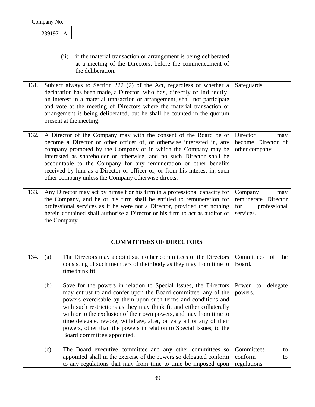|      | if the material transaction or arrangement is being deliberated<br>(ii)<br>at a meeting of the Directors, before the commencement of<br>the deliberation.                                                                                                                                                                                                                                                                                                                                                                            |                                                                           |
|------|--------------------------------------------------------------------------------------------------------------------------------------------------------------------------------------------------------------------------------------------------------------------------------------------------------------------------------------------------------------------------------------------------------------------------------------------------------------------------------------------------------------------------------------|---------------------------------------------------------------------------|
| 131. | Subject always to Section 222 (2) of the Act, regardless of whether a<br>declaration has been made, a Director, who has, directly or indirectly,<br>an interest in a material transaction or arrangement, shall not participate<br>and vote at the meeting of Directors where the material transaction or<br>arrangement is being deliberated, but he shall be counted in the quorum<br>present at the meeting.                                                                                                                      | Safeguards.                                                               |
| 132. | A Director of the Company may with the consent of the Board be or<br>become a Director or other officer of, or otherwise interested in, any<br>company promoted by the Company or in which the Company may be<br>interested as shareholder or otherwise, and no such Director shall be<br>accountable to the Company for any remuneration or other benefits<br>received by him as a Director or officer of, or from his interest in, such<br>other company unless the Company otherwise directs.                                     | Director<br>may<br>become Director of<br>other company.                   |
| 133. | Any Director may act by himself or his firm in a professional capacity for<br>the Company, and he or his firm shall be entitled to remuneration for<br>professional services as if he were not a Director, provided that nothing<br>herein contained shall authorise a Director or his firm to act as auditor of<br>the Company.                                                                                                                                                                                                     | Company<br>may<br>remunerate Director<br>professional<br>for<br>services. |
|      | <b>COMMITTEES OF DIRECTORS</b>                                                                                                                                                                                                                                                                                                                                                                                                                                                                                                       |                                                                           |
| 134. | The Directors may appoint such other committees of the Directors<br>(a)<br>consisting of such members of their body as they may from time to<br>time think fit.                                                                                                                                                                                                                                                                                                                                                                      | Committees<br>of the<br>Board.                                            |
|      | (b)<br>Save for the powers in relation to Special Issues, the Directors<br>may entrust to and confer upon the Board committee, any of the<br>powers exercisable by them upon such terms and conditions and<br>with such restrictions as they may think fit and either collaterally<br>with or to the exclusion of their own powers, and may from time to<br>time delegate, revoke, withdraw, alter, or vary all or any of their<br>powers, other than the powers in relation to Special Issues, to the<br>Board committee appointed. | Power to delegate<br>powers.                                              |
|      | The Board executive committee and any other committees so<br>(c)<br>appointed shall in the exercise of the powers so delegated conform<br>to any regulations that may from time to time be imposed upon                                                                                                                                                                                                                                                                                                                              | Committees<br>to<br>conform<br>to<br>regulations.                         |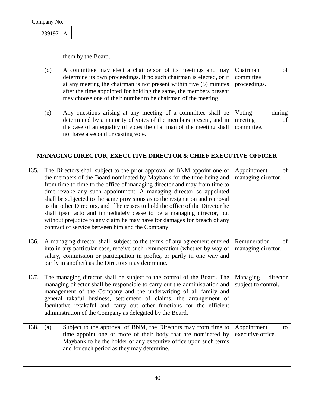| 239197 |  |
|--------|--|
|        |  |

|      | them by the Board.                                                                                                                                                                                                                                                                                                                                                                                                                                                                                                                                                                                                                                                           |                                                 |
|------|------------------------------------------------------------------------------------------------------------------------------------------------------------------------------------------------------------------------------------------------------------------------------------------------------------------------------------------------------------------------------------------------------------------------------------------------------------------------------------------------------------------------------------------------------------------------------------------------------------------------------------------------------------------------------|-------------------------------------------------|
|      | A committee may elect a chairperson of its meetings and may<br>(d)<br>determine its own proceedings. If no such chairman is elected, or if<br>at any meeting the chairman is not present within five (5) minutes<br>after the time appointed for holding the same, the members present<br>may choose one of their number to be chairman of the meeting.                                                                                                                                                                                                                                                                                                                      | Chairman<br>of<br>committee<br>proceedings.     |
|      | Any questions arising at any meeting of a committee shall be<br>(e)<br>determined by a majority of votes of the members present, and in<br>the case of an equality of votes the chairman of the meeting shall<br>not have a second or casting vote.                                                                                                                                                                                                                                                                                                                                                                                                                          | Voting<br>during<br>meeting<br>of<br>committee. |
|      | <b>MANAGING DIRECTOR, EXECUTIVE DIRECTOR &amp; CHIEF EXECUTIVE OFFICER</b>                                                                                                                                                                                                                                                                                                                                                                                                                                                                                                                                                                                                   |                                                 |
| 135. | The Directors shall subject to the prior approval of BNM appoint one of<br>the members of the Board nominated by Maybank for the time being and<br>from time to time to the office of managing director and may from time to<br>time revoke any such appointment. A managing director so appointed<br>shall be subjected to the same provisions as to the resignation and removal<br>as the other Directors, and if he ceases to hold the office of the Director he<br>shall ipso facto and immediately cease to be a managing director, but<br>without prejudice to any claim he may have for damages for breach of any<br>contract of service between him and the Company. | Appointment<br>of<br>managing director.         |
| 136. | A managing director shall, subject to the terms of any agreement entered<br>into in any particular case, receive such remuneration (whether by way of<br>salary, commission or participation in profits, or partly in one way and<br>partly in another) as the Directors may determine.                                                                                                                                                                                                                                                                                                                                                                                      | Remuneration<br>of<br>managing director.        |
| 137. | The managing director shall be subject to the control of the Board. The<br>managing director shall be responsible to carry out the administration and<br>management of the Company and the underwriting of all family and<br>general takaful business, settlement of claims, the arrangement of<br>facultative retakaful and carry out other functions for the efficient<br>administration of the Company as delegated by the Board.                                                                                                                                                                                                                                         | Managing<br>director<br>subject to control.     |
| 138. | Subject to the approval of BNM, the Directors may from time to<br>(a)<br>time appoint one or more of their body that are nominated by<br>Maybank to be the holder of any executive office upon such terms<br>and for such period as they may determine.                                                                                                                                                                                                                                                                                                                                                                                                                      | Appointment<br>to<br>executive office.          |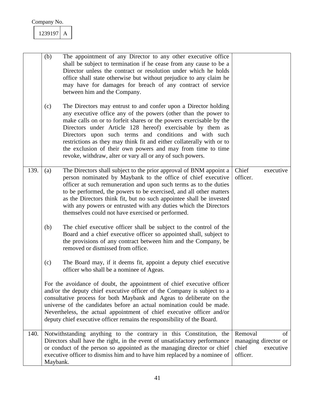|      | (b)      | The appointment of any Director to any other executive office<br>shall be subject to termination if he cease from any cause to be a<br>Director unless the contract or resolution under which he holds<br>office shall state otherwise but without prejudice to any claim he<br>may have for damages for breach of any contract of service<br>between him and the Company.                                                                                                                                                              |                              |                                         |
|------|----------|-----------------------------------------------------------------------------------------------------------------------------------------------------------------------------------------------------------------------------------------------------------------------------------------------------------------------------------------------------------------------------------------------------------------------------------------------------------------------------------------------------------------------------------------|------------------------------|-----------------------------------------|
|      | (c)      | The Directors may entrust to and confer upon a Director holding<br>any executive office any of the powers (other than the power to<br>make calls on or to forfeit shares or the powers exercisable by the<br>Directors under Article 128 hereof) exercisable by them as<br>Directors upon such terms and conditions and with such<br>restrictions as they may think fit and either collaterally with or to<br>the exclusion of their own powers and may from time to time<br>revoke, withdraw, alter or vary all or any of such powers. |                              |                                         |
| 139. | (a)      | The Directors shall subject to the prior approval of BNM appoint a<br>person nominated by Maybank to the office of chief executive<br>officer at such remuneration and upon such terms as to the duties<br>to be performed, the powers to be exercised, and all other matters<br>as the Directors think fit, but no such appointee shall be invested<br>with any powers or entrusted with any duties which the Directors<br>themselves could not have exercised or performed.                                                           | Chief<br>officer.            | executive                               |
|      | (b)      | The chief executive officer shall be subject to the control of the<br>Board and a chief executive officer so appointed shall, subject to<br>the provisions of any contract between him and the Company, be<br>removed or dismissed from office.                                                                                                                                                                                                                                                                                         |                              |                                         |
|      | (c)      | The Board may, if it deems fit, appoint a deputy chief executive<br>officer who shall be a nominee of Ageas.                                                                                                                                                                                                                                                                                                                                                                                                                            |                              |                                         |
|      |          | For the avoidance of doubt, the appointment of chief executive officer<br>and/or the deputy chief executive officer of the Company is subject to a<br>consultative process for both Maybank and Ageas to deliberate on the<br>universe of the candidates before an actual nomination could be made.<br>Nevertheless, the actual appointment of chief executive officer and/or<br>deputy chief executive officer remains the responsibility of the Board.                                                                                |                              |                                         |
| 140. | Maybank. | Notwithstanding anything to the contrary in this Constitution, the<br>Directors shall have the right, in the event of unsatisfactory performance<br>or conduct of the person so appointed as the managing director or chief<br>executive officer to dismiss him and to have him replaced by a nominee of                                                                                                                                                                                                                                | Removal<br>chief<br>officer. | of<br>managing director or<br>executive |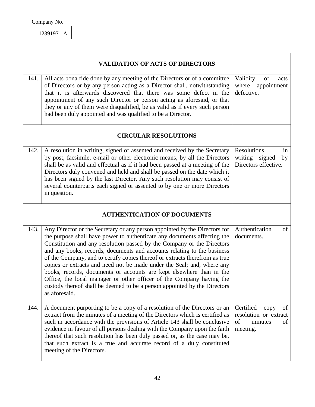|      | <b>VALIDATION OF ACTS OF DIRECTORS</b>                                                                                                                                                                                                                                                                                                                                                                                                                                                                                                                                                                                                                                                                             |                                                                                     |  |  |
|------|--------------------------------------------------------------------------------------------------------------------------------------------------------------------------------------------------------------------------------------------------------------------------------------------------------------------------------------------------------------------------------------------------------------------------------------------------------------------------------------------------------------------------------------------------------------------------------------------------------------------------------------------------------------------------------------------------------------------|-------------------------------------------------------------------------------------|--|--|
| 141. | All acts bona fide done by any meeting of the Directors or of a committee<br>of Directors or by any person acting as a Director shall, notwithstanding<br>that it is afterwards discovered that there was some defect in the<br>appointment of any such Director or person acting as aforesaid, or that<br>they or any of them were disqualified, be as valid as if every such person<br>had been duly appointed and was qualified to be a Director.                                                                                                                                                                                                                                                               | Validity<br>of<br>acts<br>where appointment<br>defective.                           |  |  |
|      | <b>CIRCULAR RESOLUTIONS</b>                                                                                                                                                                                                                                                                                                                                                                                                                                                                                                                                                                                                                                                                                        |                                                                                     |  |  |
| 142. | A resolution in writing, signed or assented and received by the Secretary<br>by post, facsimile, e-mail or other electronic means, by all the Directors<br>shall be as valid and effectual as if it had been passed at a meeting of the<br>Directors duly convened and held and shall be passed on the date which it<br>has been signed by the last Director. Any such resolution may consist of<br>several counterparts each signed or assented to by one or more Directors<br>in question.                                                                                                                                                                                                                       | Resolutions<br>in<br>writing signed<br>by<br>Directors effective.                   |  |  |
|      | <b>AUTHENTICATION OF DOCUMENTS</b>                                                                                                                                                                                                                                                                                                                                                                                                                                                                                                                                                                                                                                                                                 |                                                                                     |  |  |
| 143. | Any Director or the Secretary or any person appointed by the Directors for<br>the purpose shall have power to authenticate any documents affecting the<br>Constitution and any resolution passed by the Company or the Directors<br>and any books, records, documents and accounts relating to the business<br>of the Company, and to certify copies thereof or extracts therefrom as true<br>copies or extracts and need not be made under the Seal; and, where any<br>books, records, documents or accounts are kept elsewhere than in the<br>Office, the local manager or other officer of the Company having the<br>custody thereof shall be deemed to be a person appointed by the Directors<br>as aforesaid. | Authentication<br>of<br>documents.                                                  |  |  |
| 144. | A document purporting to be a copy of a resolution of the Directors or an<br>extract from the minutes of a meeting of the Directors which is certified as<br>such in accordance with the provisions of Article 143 shall be conclusive<br>evidence in favour of all persons dealing with the Company upon the faith<br>thereof that such resolution has been duly passed or, as the case may be,<br>that such extract is a true and accurate record of a duly constituted<br>meeting of the Directors.                                                                                                                                                                                                             | Certified<br>of<br>copy<br>resolution or extract<br>of<br>minutes<br>of<br>meeting. |  |  |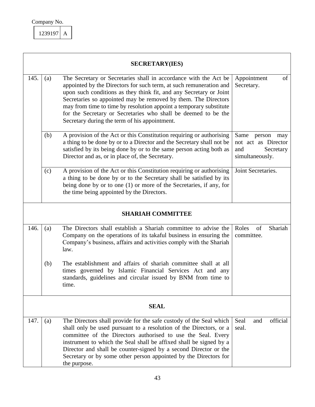

|      | <b>SECRETARY(IES)</b> |                                                                                                                                                                                                                                                                                                                                                                                                                                                                         |                                                                                     |  |  |
|------|-----------------------|-------------------------------------------------------------------------------------------------------------------------------------------------------------------------------------------------------------------------------------------------------------------------------------------------------------------------------------------------------------------------------------------------------------------------------------------------------------------------|-------------------------------------------------------------------------------------|--|--|
| 145. | (a)                   | The Secretary or Secretaries shall in accordance with the Act be<br>appointed by the Directors for such term, at such remuneration and<br>upon such conditions as they think fit, and any Secretary or Joint<br>Secretaries so appointed may be removed by them. The Directors<br>may from time to time by resolution appoint a temporary substitute<br>for the Secretary or Secretaries who shall be deemed to be the<br>Secretary during the term of his appointment. | Appointment<br>of<br>Secretary.                                                     |  |  |
|      | (b)                   | A provision of the Act or this Constitution requiring or authorising<br>a thing to be done by or to a Director and the Secretary shall not be<br>satisfied by its being done by or to the same person acting both as<br>Director and as, or in place of, the Secretary.                                                                                                                                                                                                 | Same<br>person<br>may<br>not act as Director<br>Secretary<br>and<br>simultaneously. |  |  |
|      | (c)                   | A provision of the Act or this Constitution requiring or authorising<br>a thing to be done by or to the Secretary shall be satisfied by its<br>being done by or to one (1) or more of the Secretaries, if any, for<br>the time being appointed by the Directors.                                                                                                                                                                                                        | Joint Secretaries.                                                                  |  |  |
|      |                       | <b>SHARIAH COMMITTEE</b>                                                                                                                                                                                                                                                                                                                                                                                                                                                |                                                                                     |  |  |
| 146. | (a)                   | The Directors shall establish a Shariah committee to advise the<br>Company on the operations of its takaful business in ensuring the<br>Company's business, affairs and activities comply with the Shariah<br>law.                                                                                                                                                                                                                                                      | of<br>Shariah<br>Roles<br>committee.                                                |  |  |
|      | (b)                   | The establishment and affairs of shariah committee shall at all<br>times governed by Islamic Financial Services Act and any<br>standards, guidelines and circular issued by BNM from time to<br>tıme.                                                                                                                                                                                                                                                                   |                                                                                     |  |  |
|      | <b>SEAL</b>           |                                                                                                                                                                                                                                                                                                                                                                                                                                                                         |                                                                                     |  |  |
| 147. | (a)                   | The Directors shall provide for the safe custody of the Seal which<br>shall only be used pursuant to a resolution of the Directors, or a<br>committee of the Directors authorised to use the Seal. Every<br>instrument to which the Seal shall be affixed shall be signed by a<br>Director and shall be counter-signed by a second Director or the<br>Secretary or by some other person appointed by the Directors for<br>the purpose.                                  | official<br>Seal<br>and<br>seal.                                                    |  |  |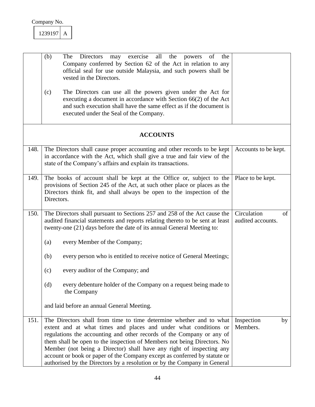| 239197 |  |
|--------|--|
|        |  |

|      | (b)<br>may exercise all the<br>Directors<br>The<br>the<br>powers of<br>Company conferred by Section 62 of the Act in relation to any<br>official seal for use outside Malaysia, and such powers shall be<br>vested in the Directors.                                                                                                                                                                                                                                                                                         |                                        |
|------|------------------------------------------------------------------------------------------------------------------------------------------------------------------------------------------------------------------------------------------------------------------------------------------------------------------------------------------------------------------------------------------------------------------------------------------------------------------------------------------------------------------------------|----------------------------------------|
|      | The Directors can use all the powers given under the Act for<br>(c)<br>executing a document in accordance with Section $66(2)$ of the Act<br>and such execution shall have the same effect as if the document is<br>executed under the Seal of the Company.                                                                                                                                                                                                                                                                  |                                        |
|      | <b>ACCOUNTS</b>                                                                                                                                                                                                                                                                                                                                                                                                                                                                                                              |                                        |
| 148. | The Directors shall cause proper accounting and other records to be kept<br>in accordance with the Act, which shall give a true and fair view of the<br>state of the Company's affairs and explain its transactions.                                                                                                                                                                                                                                                                                                         | Accounts to be kept.                   |
| 149. | The books of account shall be kept at the Office or, subject to the<br>provisions of Section 245 of the Act, at such other place or places as the<br>Directors think fit, and shall always be open to the inspection of the<br>Directors.                                                                                                                                                                                                                                                                                    | Place to be kept.                      |
| 150. | The Directors shall pursuant to Sections 257 and 258 of the Act cause the<br>audited financial statements and reports relating thereto to be sent at least<br>twenty-one (21) days before the date of its annual General Meeting to:                                                                                                                                                                                                                                                                                         | Circulation<br>of<br>audited accounts. |
|      | every Member of the Company;<br>(a)                                                                                                                                                                                                                                                                                                                                                                                                                                                                                          |                                        |
|      | (b)<br>every person who is entitled to receive notice of General Meetings;                                                                                                                                                                                                                                                                                                                                                                                                                                                   |                                        |
|      | every auditor of the Company; and<br>(c)                                                                                                                                                                                                                                                                                                                                                                                                                                                                                     |                                        |
|      | every debenture holder of the Company on a request being made to<br>(d)<br>the Company                                                                                                                                                                                                                                                                                                                                                                                                                                       |                                        |
|      | and laid before an annual General Meeting.                                                                                                                                                                                                                                                                                                                                                                                                                                                                                   |                                        |
| 151. | The Directors shall from time to time determine whether and to what<br>extent and at what times and places and under what conditions or<br>regulations the accounting and other records of the Company or any of<br>them shall be open to the inspection of Members not being Directors. No<br>Member (not being a Director) shall have any right of inspecting any<br>account or book or paper of the Company except as conferred by statute or<br>authorised by the Directors by a resolution or by the Company in General | Inspection<br>by<br>Members.           |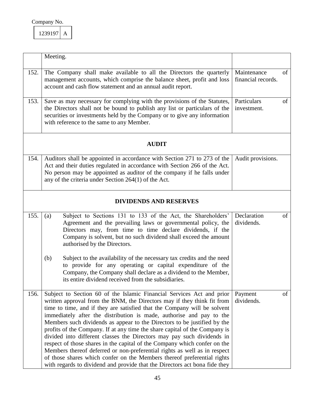| 239197 |  |
|--------|--|
|        |  |

|      | Meeting.                                                                                                                                                                                                                                                                                                                                                                                                                                                                                                                                                                                                                                                                                                                                                                                                                                                    |                                   |    |
|------|-------------------------------------------------------------------------------------------------------------------------------------------------------------------------------------------------------------------------------------------------------------------------------------------------------------------------------------------------------------------------------------------------------------------------------------------------------------------------------------------------------------------------------------------------------------------------------------------------------------------------------------------------------------------------------------------------------------------------------------------------------------------------------------------------------------------------------------------------------------|-----------------------------------|----|
| 152. | The Company shall make available to all the Directors the quarterly<br>management accounts, which comprise the balance sheet, profit and loss<br>account and cash flow statement and an annual audit report.                                                                                                                                                                                                                                                                                                                                                                                                                                                                                                                                                                                                                                                | Maintenance<br>financial records. | of |
| 153. | Save as may necessary for complying with the provisions of the Statutes,<br>the Directors shall not be bound to publish any list or particulars of the<br>securities or investments held by the Company or to give any information<br>with reference to the same to any Member.                                                                                                                                                                                                                                                                                                                                                                                                                                                                                                                                                                             | Particulars<br>investment.        | of |
|      | <b>AUDIT</b>                                                                                                                                                                                                                                                                                                                                                                                                                                                                                                                                                                                                                                                                                                                                                                                                                                                |                                   |    |
| 154. | Auditors shall be appointed in accordance with Section 271 to 273 of the<br>Act and their duties regulated in accordance with Section 266 of the Act.<br>No person may be appointed as auditor of the company if he falls under<br>any of the criteria under Section $264(1)$ of the Act.                                                                                                                                                                                                                                                                                                                                                                                                                                                                                                                                                                   | Audit provisions.                 |    |
|      | <b>DIVIDENDS AND RESERVES</b>                                                                                                                                                                                                                                                                                                                                                                                                                                                                                                                                                                                                                                                                                                                                                                                                                               |                                   |    |
| 155. | Subject to Sections 131 to 133 of the Act, the Shareholders'<br>(a)<br>Agreement and the prevailing laws or governmental policy, the<br>Directors may, from time to time declare dividends, if the<br>Company is solvent, but no such dividend shall exceed the amount<br>authorised by the Directors.                                                                                                                                                                                                                                                                                                                                                                                                                                                                                                                                                      | Declaration<br>dividends.         | of |
|      | Subject to the availability of the necessary tax credits and the need<br>(b)<br>to provide for any operating or capital expenditure of the<br>Company, the Company shall declare as a dividend to the Member,<br>its entire dividend received from the subsidiaries.                                                                                                                                                                                                                                                                                                                                                                                                                                                                                                                                                                                        |                                   |    |
| 156. | Subject to Section 60 of the Islamic Financial Services Act and prior<br>written approval from the BNM, the Directors may if they think fit from<br>time to time, and if they are satisfied that the Company will be solvent<br>immediately after the distribution is made, authorise and pay to the<br>Members such dividends as appear to the Directors to be justified by the<br>profits of the Company. If at any time the share capital of the Company is<br>divided into different classes the Directors may pay such dividends in<br>respect of those shares in the capital of the Company which confer on the<br>Members thereof deferred or non-preferential rights as well as in respect<br>of those shares which confer on the Members thereof preferential rights<br>with regards to dividend and provide that the Directors act bona fide they | Payment<br>dividends.             | of |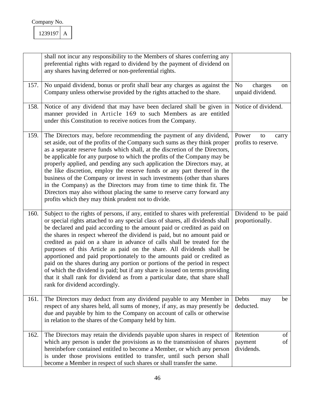|      | shall not incur any responsibility to the Members of shares conferring any<br>preferential rights with regard to dividend by the payment of dividend on<br>any shares having deferred or non-preferential rights.                                                                                                                                                                                                                                                                                                                                                                                                                                                                                                                                                                                                                        |                                                     |
|------|------------------------------------------------------------------------------------------------------------------------------------------------------------------------------------------------------------------------------------------------------------------------------------------------------------------------------------------------------------------------------------------------------------------------------------------------------------------------------------------------------------------------------------------------------------------------------------------------------------------------------------------------------------------------------------------------------------------------------------------------------------------------------------------------------------------------------------------|-----------------------------------------------------|
| 157. | No unpaid dividend, bonus or profit shall bear any charges as against the<br>Company unless otherwise provided by the rights attached to the share.                                                                                                                                                                                                                                                                                                                                                                                                                                                                                                                                                                                                                                                                                      | N <sub>o</sub><br>charges<br>on<br>unpaid dividend. |
| 158. | Notice of any dividend that may have been declared shall be given in<br>manner provided in Article 169 to such Members as are entitled<br>under this Constitution to receive notices from the Company.                                                                                                                                                                                                                                                                                                                                                                                                                                                                                                                                                                                                                                   | Notice of dividend.                                 |
| 159. | The Directors may, before recommending the payment of any dividend,<br>set aside, out of the profits of the Company such sums as they think proper<br>as a separate reserve funds which shall, at the discretion of the Directors,<br>be applicable for any purpose to which the profits of the Company may be<br>properly applied, and pending any such application the Directors may, at<br>the like discretion, employ the reserve funds or any part thereof in the<br>business of the Company or invest in such investments (other than shares<br>in the Company) as the Directors may from time to time think fit. The<br>Directors may also without placing the same to reserve carry forward any<br>profits which they may think prudent not to divide.                                                                           | Power<br>to<br>carry<br>profits to reserve.         |
| 160. | Subject to the rights of persons, if any, entitled to shares with preferential<br>or special rights attached to any special class of shares, all dividends shall<br>be declared and paid according to the amount paid or credited as paid on<br>the shares in respect whereof the dividend is paid, but no amount paid or<br>credited as paid on a share in advance of calls shall be treated for the<br>purposes of this Article as paid on the share. All dividends shall be<br>apportioned and paid proportionately to the amounts paid or credited as<br>paid on the shares during any portion or portions of the period in respect<br>of which the dividend is paid; but if any share is issued on terms providing<br>that it shall rank for dividend as from a particular date, that share shall<br>rank for dividend accordingly. | Dividend to be paid<br>proportionally.              |
| 161. | The Directors may deduct from any dividend payable to any Member in<br>respect of any shares held, all sums of money, if any, as may presently be<br>due and payable by him to the Company on account of calls or otherwise<br>in relation to the shares of the Company held by him.                                                                                                                                                                                                                                                                                                                                                                                                                                                                                                                                                     | Debts<br>be<br>may<br>deducted.                     |
| 162. | The Directors may retain the dividends payable upon shares in respect of<br>which any person is under the provisions as to the transmission of shares<br>hereinbefore contained entitled to become a Member, or which any person<br>is under those provisions entitled to transfer, until such person shall<br>become a Member in respect of such shares or shall transfer the same.                                                                                                                                                                                                                                                                                                                                                                                                                                                     | Retention<br>of<br>of<br>payment<br>dividends.      |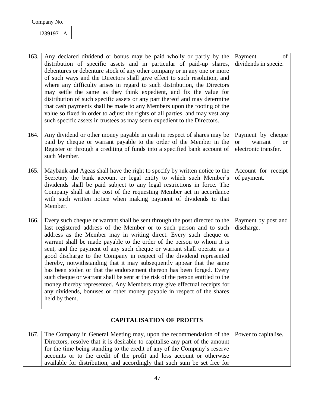| 163. | Any declared dividend or bonus may be paid wholly or partly by the<br>distribution of specific assets and in particular of paid-up shares,<br>debentures or debenture stock of any other company or in any one or more<br>of such ways and the Directors shall give effect to such resolution, and<br>where any difficulty arises in regard to such distribution, the Directors<br>may settle the same as they think expedient, and fix the value for<br>distribution of such specific assets or any part thereof and may determine<br>that cash payments shall be made to any Members upon the footing of the<br>value so fixed in order to adjust the rights of all parties, and may vest any<br>such specific assets in trustees as may seem expedient to the Directors.                                                                                    | Payment<br>of<br>dividends in specie.                                              |
|------|----------------------------------------------------------------------------------------------------------------------------------------------------------------------------------------------------------------------------------------------------------------------------------------------------------------------------------------------------------------------------------------------------------------------------------------------------------------------------------------------------------------------------------------------------------------------------------------------------------------------------------------------------------------------------------------------------------------------------------------------------------------------------------------------------------------------------------------------------------------|------------------------------------------------------------------------------------|
| 164. | Any dividend or other money payable in cash in respect of shares may be<br>paid by cheque or warrant payable to the order of the Member in the<br>Register or through a crediting of funds into a specified bank account of<br>such Member.                                                                                                                                                                                                                                                                                                                                                                                                                                                                                                                                                                                                                    | Payment by cheque<br>warrant<br><b>or</b><br><sub>or</sub><br>electronic transfer. |
| 165. | Maybank and Ageas shall have the right to specify by written notice to the<br>Secretary the bank account or legal entity to which such Member's<br>dividends shall be paid subject to any legal restrictions in force. The<br>Company shall at the cost of the requesting Member act in accordance<br>with such written notice when making payment of dividends to that<br>Member.                                                                                                                                                                                                                                                                                                                                                                                                                                                                             | Account for receipt<br>of payment.                                                 |
| 166. | Every such cheque or warrant shall be sent through the post directed to the<br>last registered address of the Member or to such person and to such<br>address as the Member may in writing direct. Every such cheque or<br>warrant shall be made payable to the order of the person to whom it is<br>sent, and the payment of any such cheque or warrant shall operate as a<br>good discharge to the Company in respect of the dividend represented<br>thereby, notwithstanding that it may subsequently appear that the same<br>has been stolen or that the endorsement thereon has been forged. Every<br>such cheque or warrant shall be sent at the risk of the person entitled to the<br>money thereby represented. Any Members may give effectual receipts for<br>any dividends, bonuses or other money payable in respect of the shares<br>held by them. | Payment by post and<br>discharge.                                                  |
|      | <b>CAPITALISATION OF PROFITS</b>                                                                                                                                                                                                                                                                                                                                                                                                                                                                                                                                                                                                                                                                                                                                                                                                                               |                                                                                    |
| 167. | The Company in General Meeting may, upon the recommendation of the<br>Directors, resolve that it is desirable to capitalise any part of the amount<br>for the time being standing to the credit of any of the Company's reserve<br>accounts or to the credit of the profit and loss account or otherwise<br>available for distribution, and accordingly that such sum be set free for                                                                                                                                                                                                                                                                                                                                                                                                                                                                          | Power to capitalise.                                                               |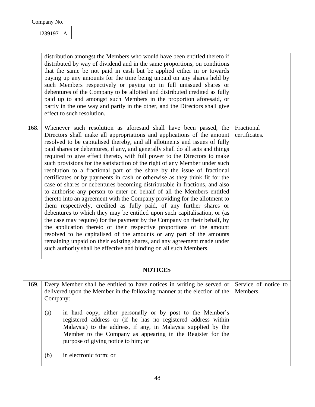|                | distribution amongst the Members who would have been entitled thereto if<br>distributed by way of dividend and in the same proportions, on conditions<br>that the same be not paid in cash but be applied either in or towards<br>paying up any amounts for the time being unpaid on any shares held by<br>such Members respectively or paying up in full unissued shares or<br>debentures of the Company to be allotted and distributed credited as fully<br>paid up to and amongst such Members in the proportion aforesaid, or<br>partly in the one way and partly in the other, and the Directors shall give<br>effect to such resolution.                                                                                                                                                                                                                                                                                                                                                                                                                                                                                                                                                                                                                                                                                                                                                        |                                  |  |  |
|----------------|-------------------------------------------------------------------------------------------------------------------------------------------------------------------------------------------------------------------------------------------------------------------------------------------------------------------------------------------------------------------------------------------------------------------------------------------------------------------------------------------------------------------------------------------------------------------------------------------------------------------------------------------------------------------------------------------------------------------------------------------------------------------------------------------------------------------------------------------------------------------------------------------------------------------------------------------------------------------------------------------------------------------------------------------------------------------------------------------------------------------------------------------------------------------------------------------------------------------------------------------------------------------------------------------------------------------------------------------------------------------------------------------------------|----------------------------------|--|--|
| 168.           | Whenever such resolution as aforesaid shall have been passed, the<br>Directors shall make all appropriations and applications of the amount<br>resolved to be capitalised thereby, and all allotments and issues of fully<br>paid shares or debentures, if any, and generally shall do all acts and things<br>required to give effect thereto, with full power to the Directors to make<br>such provisions for the satisfaction of the right of any Member under such<br>resolution to a fractional part of the share by the issue of fractional<br>certificates or by payments in cash or otherwise as they think fit for the<br>case of shares or debentures becoming distributable in fractions, and also<br>to authorise any person to enter on behalf of all the Members entitled<br>thereto into an agreement with the Company providing for the allotment to<br>them respectively, credited as fully paid, of any further shares or<br>debentures to which they may be entitled upon such capitalisation, or (as<br>the case may require) for the payment by the Company on their behalf, by<br>the application thereto of their respective proportions of the amount<br>resolved to be capitalised of the amounts or any part of the amounts<br>remaining unpaid on their existing shares, and any agreement made under<br>such authority shall be effective and binding on all such Members. | Fractional<br>certificates.      |  |  |
| <b>NOTICES</b> |                                                                                                                                                                                                                                                                                                                                                                                                                                                                                                                                                                                                                                                                                                                                                                                                                                                                                                                                                                                                                                                                                                                                                                                                                                                                                                                                                                                                       |                                  |  |  |
| 169.           | Every Member shall be entitled to have notices in writing be served or<br>delivered upon the Member in the following manner at the election of the<br>Company:                                                                                                                                                                                                                                                                                                                                                                                                                                                                                                                                                                                                                                                                                                                                                                                                                                                                                                                                                                                                                                                                                                                                                                                                                                        | Service of notice to<br>Members. |  |  |
|                | in hard copy, either personally or by post to the Member's<br>(a)<br>registered address or (if he has no registered address within<br>Malaysia) to the address, if any, in Malaysia supplied by the<br>Member to the Company as appearing in the Register for the<br>purpose of giving notice to him; or                                                                                                                                                                                                                                                                                                                                                                                                                                                                                                                                                                                                                                                                                                                                                                                                                                                                                                                                                                                                                                                                                              |                                  |  |  |
|                | in electronic form; or<br>(b)                                                                                                                                                                                                                                                                                                                                                                                                                                                                                                                                                                                                                                                                                                                                                                                                                                                                                                                                                                                                                                                                                                                                                                                                                                                                                                                                                                         |                                  |  |  |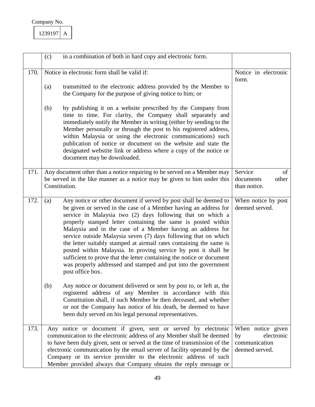| 239197 |  |
|--------|--|
|        |  |

|      | (c) | in a combination of both in hard copy and electronic form.                                                                                                                                                                                                                                                                                                                                                                                                                                                                                                                                                                                                                                                   |                                                                          |
|------|-----|--------------------------------------------------------------------------------------------------------------------------------------------------------------------------------------------------------------------------------------------------------------------------------------------------------------------------------------------------------------------------------------------------------------------------------------------------------------------------------------------------------------------------------------------------------------------------------------------------------------------------------------------------------------------------------------------------------------|--------------------------------------------------------------------------|
| 170. |     | Notice in electronic form shall be valid if:                                                                                                                                                                                                                                                                                                                                                                                                                                                                                                                                                                                                                                                                 | Notice in electronic<br>form.                                            |
|      | (a) | transmitted to the electronic address provided by the Member to<br>the Company for the purpose of giving notice to him; or                                                                                                                                                                                                                                                                                                                                                                                                                                                                                                                                                                                   |                                                                          |
|      | (b) | by publishing it on a website prescribed by the Company from<br>time to time. For clarity, the Company shall separately and<br>immediately notify the Member in writing (either by sending to the<br>Member personally or through the post to his registered address,<br>within Malaysia or using the electronic communications) such<br>publication of notice or document on the website and state the<br>designated webstite link or address where a copy of the notice or<br>document may be downloaded.                                                                                                                                                                                                  |                                                                          |
| 171. |     | Any document other than a notice requiring to be served on a Member may<br>be served in the like manner as a notice may be given to him under this<br>Constitution.                                                                                                                                                                                                                                                                                                                                                                                                                                                                                                                                          | Service<br>of<br>other<br>documents<br>than notice.                      |
| 172. | (a) | Any notice or other document if served by post shall be deemed to<br>be given or served in the case of a Member having an address for<br>service in Malaysia two (2) days following that on which a<br>properly stamped letter containing the same is posted within<br>Malaysia and in the case of a Member having an address for<br>service outside Malaysia seven (7) days following that on which<br>the letter suitably stamped at airmail rates containing the same is<br>posted within Malaysia. In proving service by post it shall be<br>sufficient to prove that the letter containing the notice or document<br>was properly addressed and stamped and put into the government<br>post office box. | When notice by post<br>deemed served.                                    |
|      | (b) | Any notice or document delivered or sent by post to, or left at, the<br>registered address of any Member in accordance with this<br>Constitution shall, if such Member be then deceased, and whether<br>or not the Company has notice of his death, be deemed to have<br>been duly served on his legal personal representatives.                                                                                                                                                                                                                                                                                                                                                                             |                                                                          |
| 173. |     | Any notice or document if given, sent or served by electronic<br>communication to the electronic address of any Member shall be deemed<br>to have been duly given, sent or served at the time of transmission of the<br>electronic communication by the email server of facility operated by the<br>Company or its service provider to the electronic address of such<br>Member provided always that Company obtains the reply message or                                                                                                                                                                                                                                                                    | When notice given<br>electronic<br>by<br>communication<br>deemed served. |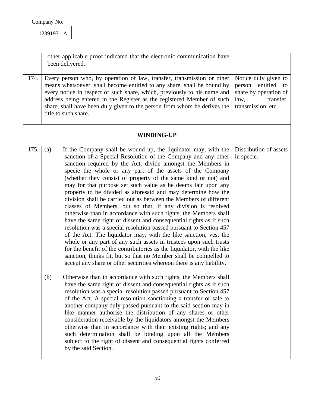| Company No. |  |
|-------------|--|
|             |  |

|      | other applicable proof indicated that the electronic communication have<br>been delivered.                                                                                                                                                                                                                                                                                                                                                                                                                                                                                                                                                                                                                                                                                                                                                                                                                                                                                                                                                                                                                                                                                                  |                                                                                                                   |
|------|---------------------------------------------------------------------------------------------------------------------------------------------------------------------------------------------------------------------------------------------------------------------------------------------------------------------------------------------------------------------------------------------------------------------------------------------------------------------------------------------------------------------------------------------------------------------------------------------------------------------------------------------------------------------------------------------------------------------------------------------------------------------------------------------------------------------------------------------------------------------------------------------------------------------------------------------------------------------------------------------------------------------------------------------------------------------------------------------------------------------------------------------------------------------------------------------|-------------------------------------------------------------------------------------------------------------------|
| 174. | Every person who, by operation of law, transfer, transmission or other<br>means whatsoever, shall become entitled to any share, shall be bound by<br>every notice in respect of such share, which, previously to his name and<br>address being entered in the Register as the registered Member of such<br>share, shall have been duly given to the person from whom he derives the<br>title to such share.                                                                                                                                                                                                                                                                                                                                                                                                                                                                                                                                                                                                                                                                                                                                                                                 | Notice duly given to<br>entitled to<br>person<br>share by operation of<br>transfer,<br>law,<br>transmission, etc. |
|      | <b>WINDING-UP</b>                                                                                                                                                                                                                                                                                                                                                                                                                                                                                                                                                                                                                                                                                                                                                                                                                                                                                                                                                                                                                                                                                                                                                                           |                                                                                                                   |
| 175. | If the Company shall be wound up, the liquidator may, with the<br>(a)<br>sanction of a Special Resolution of the Company and any other<br>sanction required by the Act, divide amongst the Members in<br>specie the whole or any part of the assets of the Company<br>(whether they consist of property of the same kind or not) and<br>may for that purpose set such value as he deems fair upon any<br>property to be divided as aforesaid and may determine how the<br>division shall be carried out as between the Members of different<br>classes of Members, but so that, if any division is resolved<br>otherwise than in accordance with such rights, the Members shall<br>have the same right of dissent and consequential rights as if such<br>resolution was a special resolution passed pursuant to Section 457<br>of the Act. The liquidator may, with the like sanction, vest the<br>whole or any part of any such assets in trustees upon such trusts<br>for the benefit of the contributories as the liquidator, with the like<br>sanction, thinks fit, but so that no Member shall be compelled to<br>accept any share or other securities whereon there is any liability. | Distribution of assets<br>in specie.                                                                              |
|      | Otherwise than in accordance with such rights, the Members shall<br>(b)<br>have the same right of dissent and consequential rights as if such<br>resolution was a special resolution passed pursuant to Section 457<br>of the Act. A special resolution sanctioning a transfer or sale to<br>another company duly passed pursuant to the said section may in<br>like manner authorise the distribution of any shares or other<br>consideration receivable by the liquidators amongst the Members<br>otherwise than in accordance with their existing rights; and any<br>such determination shall be binding upon all the Members<br>subject to the right of dissent and consequential rights conferred<br>by the said Section.                                                                                                                                                                                                                                                                                                                                                                                                                                                              |                                                                                                                   |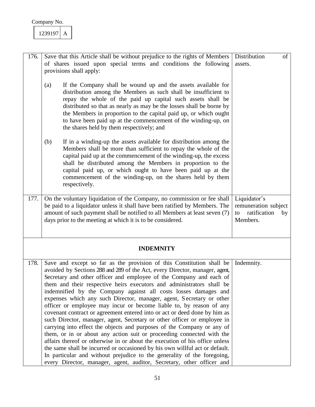| 239197 |  |
|--------|--|
|        |  |

| 176. | Save that this Article shall be without prejudice to the rights of Members                                                                                                                                                                                                                                                                                                                                                                                                                                                                                                                                                                                                                                                                                                                                                                                                                                                                                                                                                                                                                                                                           | Distribution<br>of                                                           |
|------|------------------------------------------------------------------------------------------------------------------------------------------------------------------------------------------------------------------------------------------------------------------------------------------------------------------------------------------------------------------------------------------------------------------------------------------------------------------------------------------------------------------------------------------------------------------------------------------------------------------------------------------------------------------------------------------------------------------------------------------------------------------------------------------------------------------------------------------------------------------------------------------------------------------------------------------------------------------------------------------------------------------------------------------------------------------------------------------------------------------------------------------------------|------------------------------------------------------------------------------|
|      | of shares issued upon special terms and conditions the following                                                                                                                                                                                                                                                                                                                                                                                                                                                                                                                                                                                                                                                                                                                                                                                                                                                                                                                                                                                                                                                                                     | assets.                                                                      |
|      | provisions shall apply:                                                                                                                                                                                                                                                                                                                                                                                                                                                                                                                                                                                                                                                                                                                                                                                                                                                                                                                                                                                                                                                                                                                              |                                                                              |
|      | If the Company shall be wound up and the assets available for<br>(a)<br>distribution among the Members as such shall be insufficient to<br>repay the whole of the paid up capital such assets shall be<br>distributed so that as nearly as may be the losses shall be borne by<br>the Members in proportion to the capital paid up, or which ought<br>to have been paid up at the commencement of the winding-up, on<br>the shares held by them respectively; and                                                                                                                                                                                                                                                                                                                                                                                                                                                                                                                                                                                                                                                                                    |                                                                              |
|      | If in a winding-up the assets available for distribution among the<br>(b)<br>Members shall be more than sufficient to repay the whole of the<br>capital paid up at the commencement of the winding-up, the excess<br>shall be distributed among the Members in proportion to the<br>capital paid up, or which ought to have been paid up at the<br>commencement of the winding-up, on the shares held by them<br>respectively.                                                                                                                                                                                                                                                                                                                                                                                                                                                                                                                                                                                                                                                                                                                       |                                                                              |
| 177. | On the voluntary liquidation of the Company, no commission or fee shall<br>be paid to a liquidator unless it shall have been ratified by Members. The<br>amount of such payment shall be notified to all Members at least seven (7)<br>days prior to the meeting at which it is to be considered.                                                                                                                                                                                                                                                                                                                                                                                                                                                                                                                                                                                                                                                                                                                                                                                                                                                    | Liquidator's<br>remuneration subject<br>ratification<br>to<br>by<br>Members. |
|      | <b>INDEMNITY</b>                                                                                                                                                                                                                                                                                                                                                                                                                                                                                                                                                                                                                                                                                                                                                                                                                                                                                                                                                                                                                                                                                                                                     |                                                                              |
| 178. | Save and except so far as the provision of this Constitution shall be<br>avoided by Sections 288 and 289 of the Act, every Director, manager, agent,<br>Secretary and other officer and employee of the Company and each of<br>them and their respective heirs executors and administrators shall be<br>indemnified by the Company against all costs losses damages and<br>expenses which any such Director, manager, agent, Secretary or other<br>officer or employee may incur or become liable to, by reason of any<br>covenant contract or agreement entered into or act or deed done by him as<br>such Director, manager, agent, Secretary or other officer or employee in<br>carrying into effect the objects and purposes of the Company or any of<br>them, or in or about any action suit or proceeding connected with the<br>affairs thereof or otherwise in or about the execution of his office unless<br>the same shall be incurred or occasioned by his own willful act or default.<br>In particular and without prejudice to the generality of the foregoing,<br>every Director, manager, agent, auditor, Secretary, other officer and | Indemnity.                                                                   |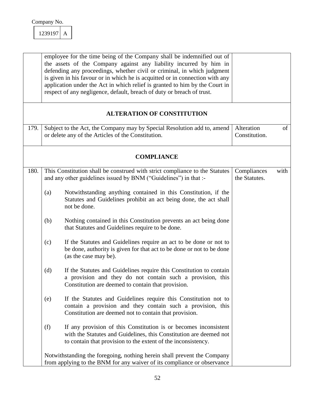| Company No. |  |
|-------------|--|
|             |  |

|      | employee for the time being of the Company shall be indemnified out of<br>the assets of the Company against any liability incurred by him in<br>defending any proceedings, whether civil or criminal, in which judgment<br>is given in his favour or in which he is acquitted or in connection with any<br>application under the Act in which relief is granted to him by the Court in<br>respect of any negligence, default, breach of duty or breach of trust. |                                      |
|------|------------------------------------------------------------------------------------------------------------------------------------------------------------------------------------------------------------------------------------------------------------------------------------------------------------------------------------------------------------------------------------------------------------------------------------------------------------------|--------------------------------------|
|      | <b>ALTERATION OF CONSTITUTION</b>                                                                                                                                                                                                                                                                                                                                                                                                                                |                                      |
| 179. | Subject to the Act, the Company may by Special Resolution add to, amend<br>or delete any of the Articles of the Constitution.                                                                                                                                                                                                                                                                                                                                    | Alteration<br>of<br>Constitution.    |
|      | <b>COMPLIANCE</b>                                                                                                                                                                                                                                                                                                                                                                                                                                                |                                      |
| 180. | This Constitution shall be construed with strict compliance to the Statutes<br>and any other guidelines issued by BNM ("Guidelines") in that :-                                                                                                                                                                                                                                                                                                                  | Compliances<br>with<br>the Statutes. |
|      | Notwithstanding anything contained in this Constitution, if the<br>(a)<br>Statutes and Guidelines prohibit an act being done, the act shall<br>not be done.                                                                                                                                                                                                                                                                                                      |                                      |
|      | Nothing contained in this Constitution prevents an act being done<br>(b)<br>that Statutes and Guidelines require to be done.                                                                                                                                                                                                                                                                                                                                     |                                      |
|      | If the Statutes and Guidelines require an act to be done or not to<br>(c)<br>be done, authority is given for that act to be done or not to be done<br>(as the case may be).                                                                                                                                                                                                                                                                                      |                                      |
|      | (d)<br>If the Statutes and Guidelines require this Constitution to contain<br>a provision and they do not contain such a provision, this<br>Constitution are deemed to contain that provision.                                                                                                                                                                                                                                                                   |                                      |
|      | If the Statutes and Guidelines require this Constitution not to<br>(e)<br>contain a provision and they contain such a provision, this<br>Constitution are deemed not to contain that provision.                                                                                                                                                                                                                                                                  |                                      |
|      | If any provision of this Constitution is or becomes inconsistent<br>(f)<br>with the Statutes and Guidelines, this Constitution are deemed not<br>to contain that provision to the extent of the inconsistency.                                                                                                                                                                                                                                                   |                                      |
|      | Notwithstanding the foregoing, nothing herein shall prevent the Company<br>from applying to the BNM for any waiver of its compliance or observance                                                                                                                                                                                                                                                                                                               |                                      |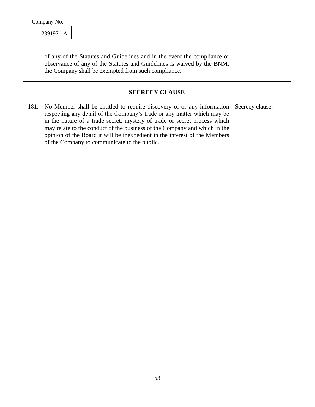|                       | of any of the Statutes and Guidelines and in the event the compliance or<br>observance of any of the Statutes and Guidelines is waived by the BNM,<br>the Company shall be exempted from such compliance.                                                                                                                                                                                                                                 |                 |  |
|-----------------------|-------------------------------------------------------------------------------------------------------------------------------------------------------------------------------------------------------------------------------------------------------------------------------------------------------------------------------------------------------------------------------------------------------------------------------------------|-----------------|--|
| <b>SECRECY CLAUSE</b> |                                                                                                                                                                                                                                                                                                                                                                                                                                           |                 |  |
| 181.                  | No Member shall be entitled to require discovery of or any information<br>respecting any detail of the Company's trade or any matter which may be<br>in the nature of a trade secret, mystery of trade or secret process which<br>may relate to the conduct of the business of the Company and which in the<br>opinion of the Board it will be inexpedient in the interest of the Members<br>of the Company to communicate to the public. | Secrecy clause. |  |